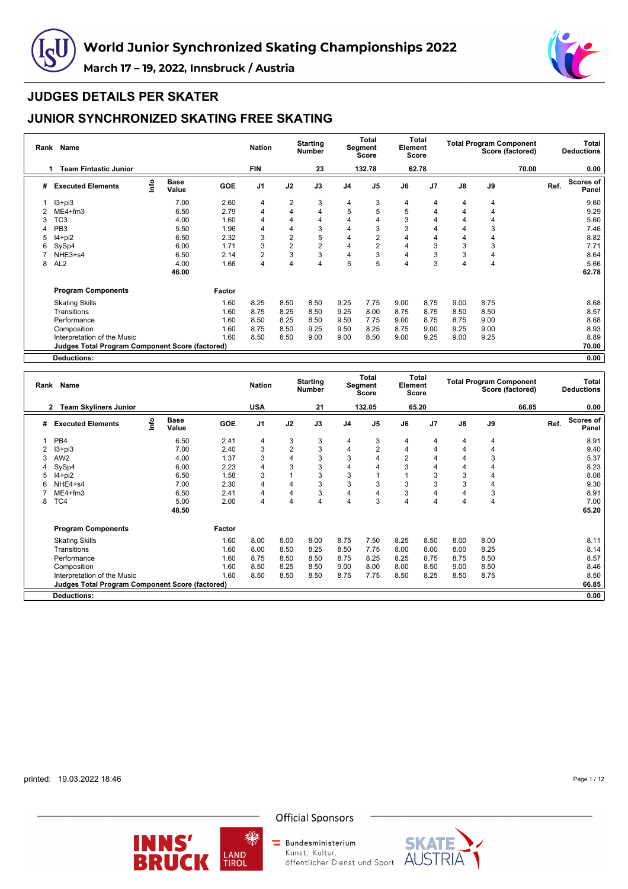



# **JUDGES DETAILS PER SKATER**

# **JUNIOR SYNCHRONIZED SKATING FREE SKATING**

| Rank | Name                                                   |      |                      |            | <b>Nation</b>  |                | <b>Starting</b><br><b>Number</b> |                | <b>Total</b><br>Segment<br>Score | Element | Total<br>Score |      |      | <b>Total Program Component</b><br>Score (factored) |      | Total<br><b>Deductions</b> |
|------|--------------------------------------------------------|------|----------------------|------------|----------------|----------------|----------------------------------|----------------|----------------------------------|---------|----------------|------|------|----------------------------------------------------|------|----------------------------|
|      | <b>Team Fintastic Junior</b><br>1                      |      |                      |            | <b>FIN</b>     |                | 23                               |                | 132.78                           |         | 62.78          |      |      | 70.00                                              |      | 0.00                       |
| #    | <b>Executed Elements</b>                               | Info | <b>Base</b><br>Value | <b>GOE</b> | J <sub>1</sub> | J2             | J3                               | J <sub>4</sub> | J <sub>5</sub>                   | J6      | J <sub>7</sub> | J8   | J9   |                                                    | Ref. | Scores of<br>Panel         |
|      | $13 + pi3$                                             |      | 7.00                 | 2.60       | 4              | $\overline{2}$ | 3                                | 4              | 3                                | 4       | 4              | 4    | 4    |                                                    |      | 9.60                       |
|      | $ME4 + fm3$                                            |      | 6.50                 | 2.79       | 4              | 4              | 4                                | 5              | 5                                | 5       | 4              | 4    | 4    |                                                    |      | 9.29                       |
| 3    | TC <sub>3</sub>                                        |      | 4.00                 | 1.60       | 4              | 4              | 4                                | 4              |                                  | 3       | 4              | 4    | 4    |                                                    |      | 5.60                       |
| 4    | PB <sub>3</sub>                                        |      | 5.50                 | 1.96       | 4              | 4              | 3                                | 4              | 3                                | 3       | 4              | 4    | 3    |                                                    |      | 7.46                       |
| 5    | $14+pi2$                                               |      | 6.50                 | 2.32       | 3              | 2              | 5                                | 4              | 2                                |         | 4              | 4    | 4    |                                                    |      | 8.82                       |
| 6    | SySp4                                                  |      | 6.00                 | 1.71       | 3              | $\overline{2}$ | $\overline{2}$                   | 4              | 2                                | 4       | 3              | 3    | 3    |                                                    |      | 7.71                       |
|      | NHE3+s4                                                |      | 6.50                 | 2.14       | $\overline{2}$ | 3              | 3                                | 4              | 3                                | 4       | 3              | 3    | 4    |                                                    |      | 8.64                       |
| 8    | AL <sub>2</sub>                                        |      | 4.00                 | 1.66       | 4              | 4              | 4                                | 5              | 5                                | 4       | 3              | 4    | 4    |                                                    |      | 5.66                       |
|      |                                                        |      | 46.00                |            |                |                |                                  |                |                                  |         |                |      |      |                                                    |      | 62.78                      |
|      | <b>Program Components</b>                              |      |                      | Factor     |                |                |                                  |                |                                  |         |                |      |      |                                                    |      |                            |
|      | <b>Skating Skills</b>                                  |      |                      | 1.60       | 8.25           | 8.50           | 8.50                             | 9.25           | 7.75                             | 9.00    | 8.75           | 9.00 | 8.75 |                                                    |      | 8.68                       |
|      | Transitions                                            |      |                      | 1.60       | 8.75           | 8.25           | 8.50                             | 9.25           | 8.00                             | 8.75    | 8.75           | 8.50 | 8.50 |                                                    |      | 8.57                       |
|      | Performance                                            |      |                      | 1.60       | 8.50           | 8.25           | 8.50                             | 9.50           | 7.75                             | 9.00    | 8.75           | 8.75 | 9.00 |                                                    |      | 8.68                       |
|      | Composition                                            |      |                      | 1.60       | 8.75           | 8.50           | 9.25                             | 9.50           | 8.25                             | 8.75    | 9.00           | 9.25 | 9.00 |                                                    |      | 8.93                       |
|      | Interpretation of the Music                            |      |                      | 1.60       | 8.50           | 8.50           | 9.00                             | 9.00           | 8.50                             | 9.00    | 9.25           | 9.00 | 9.25 |                                                    |      | 8.89                       |
|      | <b>Judges Total Program Component Score (factored)</b> |      |                      |            |                |                |                                  |                |                                  |         |                |      |      |                                                    |      | 70.00                      |
|      | <b>Deductions:</b>                                     |      |                      |            |                |                |                                  |                |                                  |         |                |      |      |                                                    |      | 0.00                       |

| Rank | Name                                                   |      |                      |            | <b>Nation</b>  |                | <b>Starting</b><br><b>Number</b> |                | Total<br>Segment<br><b>Score</b> | Element        | Total<br><b>Score</b> |                |      | <b>Total Program Component</b><br>Score (factored) |      | Total<br><b>Deductions</b> |
|------|--------------------------------------------------------|------|----------------------|------------|----------------|----------------|----------------------------------|----------------|----------------------------------|----------------|-----------------------|----------------|------|----------------------------------------------------|------|----------------------------|
|      | <b>Team Skyliners Junior</b><br>2                      |      |                      |            | <b>USA</b>     |                | 21                               |                | 132.05                           |                | 65.20                 |                |      | 66.85                                              |      | 0.00                       |
| #    | <b>Executed Elements</b>                               | lnfo | <b>Base</b><br>Value | <b>GOE</b> | J <sub>1</sub> | J2             | J3                               | J <sub>4</sub> | J <sub>5</sub>                   | J6             | J <sub>7</sub>        | $\mathsf{J}8$  | J9   |                                                    | Ref. | Scores of<br>Panel         |
|      | PB4                                                    |      | 6.50                 | 2.41       | 4              | 3              | 3                                | 4              | 3                                | 4              | 4                     | $\overline{4}$ | 4    |                                                    |      | 8.91                       |
|      | l3+pi3                                                 |      | 7.00                 | 2.40       | 3              | $\overline{2}$ | 3                                | 4              | $\overline{2}$                   | 4              | 4                     | 4              | 4    |                                                    |      | 9.40                       |
| 3    | AW <sub>2</sub>                                        |      | 4.00                 | 1.37       | 3              | 4              | 3                                | 3              | 4                                | $\overline{2}$ | 4                     | 4              | 3    |                                                    |      | 5.37                       |
|      | SySp4                                                  |      | 6.00                 | 2.23       | 4              | 3              | 3                                | 4              | 4                                | 3              | 4                     | 4              |      |                                                    |      | 8.23                       |
| 5    | $14+pi2$                                               |      | 6.50                 | 1.58       | 3              |                | 3                                | 3              |                                  |                | 3                     | 3              |      |                                                    |      | 8.08                       |
|      | NHE4+s4                                                |      | 7.00                 | 2.30       | 4              | 4              | 3                                | 3              | 3                                | 3              | 3                     | 3              | 4    |                                                    |      | 9.30                       |
|      | $ME4 + fm3$                                            |      | 6.50                 | 2.41       | 4              | 4              | 3                                | 4              |                                  | 3              |                       | $\overline{4}$ | 3    |                                                    |      | 8.91                       |
| 8    | TC4                                                    |      | 5.00                 | 2.00       | 4              | 4              | 4                                | 4              | 3                                | 4              | 4                     | 4              | 4    |                                                    |      | 7.00                       |
|      |                                                        |      | 48.50                |            |                |                |                                  |                |                                  |                |                       |                |      |                                                    |      | 65.20                      |
|      | <b>Program Components</b>                              |      |                      | Factor     |                |                |                                  |                |                                  |                |                       |                |      |                                                    |      |                            |
|      | <b>Skating Skills</b>                                  |      |                      | 1.60       | 8.00           | 8.00           | 8.00                             | 8.75           | 7.50                             | 8.25           | 8.50                  | 8.00           | 8.00 |                                                    |      | 8.11                       |
|      | Transitions                                            |      |                      | 1.60       | 8.00           | 8.50           | 8.25                             | 8.50           | 7.75                             | 8.00           | 8.00                  | 8.00           | 8.25 |                                                    |      | 8.14                       |
|      | Performance                                            |      |                      | 1.60       | 8.75           | 8.50           | 8.50                             | 8.75           | 8.25                             | 8.25           | 8.75                  | 8.75           | 8.50 |                                                    |      | 8.57                       |
|      | Composition                                            |      |                      | 1.60       | 8.50           | 8.25           | 8.50                             | 9.00           | 8.00                             | 8.00           | 8.50                  | 9.00           | 8.50 |                                                    |      | 8.46                       |
|      | Interpretation of the Music                            |      |                      | 1.60       | 8.50           | 8.50           | 8.50                             | 8.75           | 7.75                             | 8.50           | 8.25                  | 8.50           | 8.75 |                                                    |      | 8.50                       |
|      | <b>Judges Total Program Component Score (factored)</b> |      |                      |            |                |                |                                  |                |                                  |                |                       |                |      |                                                    |      | 66.85                      |
|      | Deductions:                                            |      |                      |            |                |                |                                  |                |                                  |                |                       |                |      |                                                    |      | 0.00                       |

printed: 19.03.2022 18:46

Page 1 / 12



缫



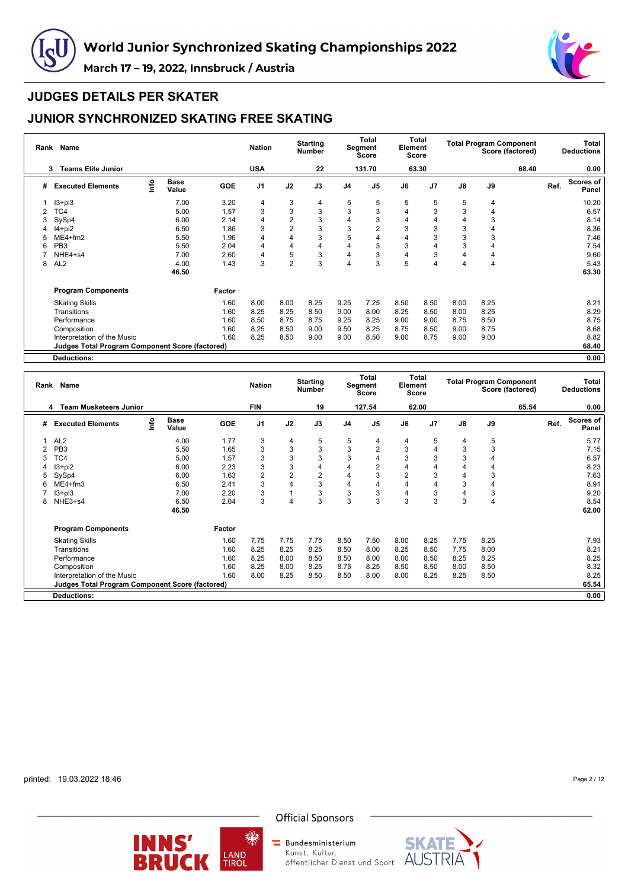



# **JUDGES DETAILS PER SKATER**

# **JUNIOR SYNCHRONIZED SKATING FREE SKATING**

|   | Rank Name                                              |      |                      |            | <b>Nation</b>  |                | <b>Starting</b><br><b>Number</b> |                | <b>Total</b><br>Segment<br>Score | Element | Total<br>Score |               | <b>Total Program Component</b> | Score (factored) |      | Total<br><b>Deductions</b> |
|---|--------------------------------------------------------|------|----------------------|------------|----------------|----------------|----------------------------------|----------------|----------------------------------|---------|----------------|---------------|--------------------------------|------------------|------|----------------------------|
|   | <b>Teams Elite Junior</b><br>3                         |      |                      |            | <b>USA</b>     |                | 22                               |                | 131.70                           |         | 63.30          |               |                                | 68.40            |      | 0.00                       |
| # | <b>Executed Elements</b>                               | Info | <b>Base</b><br>Value | <b>GOE</b> | J <sub>1</sub> | J2             | J3                               | J <sub>4</sub> | J <sub>5</sub>                   | J6      | J <sub>7</sub> | $\mathsf{J}8$ | J9                             |                  | Ref. | <b>Scores of</b><br>Panel  |
|   | $13 + pi3$                                             |      | 7.00                 | 3.20       | 4              | 3              | 4                                | 5              | 5                                | 5       | 5              | 5             | 4                              |                  |      | 10.20                      |
|   | TC4                                                    |      | 5.00                 | 1.57       | 3              | 3              | 3                                | 3              | 3                                | 4       | 3              | 3             | 4                              |                  |      | 6.57                       |
| 3 | SySp4                                                  |      | 6.00                 | 2.14       | $\overline{4}$ | $\overline{2}$ | 3                                | 4              | 3                                | 4       |                | 4             | 3                              |                  |      | 8.14                       |
| 4 | $14+pi2$                                               |      | 6.50                 | 1.86       | 3              | $\overline{2}$ | 3                                | 3              | 2                                | 3       | 3              | 3             | 4                              |                  |      | 8.36                       |
|   | ME4+fm2                                                |      | 5.50                 | 1.96       | 4              | 4              | 3                                | 5              | 4                                | 4       | 3              | 3             | 3                              |                  |      | 7.46                       |
| 6 | PB <sub>3</sub>                                        |      | 5.50                 | 2.04       | 4              | 4              | 4                                | 4              | 3                                | 3       | 4              | 3             | 4                              |                  |      | 7.54                       |
|   | NHE4+s4                                                |      | 7.00                 | 2.60       | $\overline{4}$ | 5              | 3                                | 4              | 3                                | 4       | 3              | 4             | 4                              |                  |      | 9.60                       |
| 8 | AL <sub>2</sub>                                        |      | 4.00                 | 1.43       | 3              | $\overline{2}$ | 3                                | 4              | 3                                | 5       | 4              | 4             | 4                              |                  |      | 5.43                       |
|   |                                                        |      | 46.50                |            |                |                |                                  |                |                                  |         |                |               |                                |                  |      | 63.30                      |
|   | <b>Program Components</b>                              |      |                      | Factor     |                |                |                                  |                |                                  |         |                |               |                                |                  |      |                            |
|   | <b>Skating Skills</b>                                  |      |                      | 1.60       | 8.00           | 8.00           | 8.25                             | 9.25           | 7.25                             | 8.50    | 8.50           | 8.00          | 8.25                           |                  |      | 8.21                       |
|   | Transitions                                            |      |                      | 1.60       | 8.25           | 8.25           | 8.50                             | 9.00           | 8.00                             | 8.25    | 8.50           | 8.00          | 8.25                           |                  |      | 8.29                       |
|   | Performance                                            |      |                      | 1.60       | 8.50           | 8.75           | 8.75                             | 9.25           | 8.25                             | 9.00    | 9.00           | 8.75          | 8.50                           |                  |      | 8.75                       |
|   | Composition                                            |      |                      | 1.60       | 8.25           | 8.50           | 9.00                             | 9.50           | 8.25                             | 8.75    | 8.50           | 9.00          | 8.75                           |                  |      | 8.68                       |
|   | Interpretation of the Music                            |      |                      | 1.60       | 8.25           | 8.50           | 9.00                             | 9.00           | 8.50                             | 9.00    | 8.75           | 9.00          | 9.00                           |                  |      | 8.82                       |
|   | <b>Judges Total Program Component Score (factored)</b> |      |                      |            |                |                |                                  |                |                                  |         |                |               |                                |                  |      | 68.40                      |
|   | <b>Deductions:</b>                                     |      |                      |            |                |                |                                  |                |                                  |         |                |               |                                |                  |      | 0.00                       |

| Rank | Name                                                   |      |                      |            | <b>Nation</b>  |                | <b>Starting</b><br><b>Number</b> |                | Total<br>Segment<br><b>Score</b> | Element        | <b>Total</b><br><b>Score</b> |                |      | <b>Total Program Component</b><br>Score (factored) |      | Total<br><b>Deductions</b> |
|------|--------------------------------------------------------|------|----------------------|------------|----------------|----------------|----------------------------------|----------------|----------------------------------|----------------|------------------------------|----------------|------|----------------------------------------------------|------|----------------------------|
|      | <b>Team Musketeers Junior</b><br>4                     |      |                      |            | <b>FIN</b>     |                | 19                               |                | 127.54                           |                | 62.00                        |                |      | 65.54                                              |      | 0.00                       |
| #    | <b>Executed Elements</b>                               | lnfo | <b>Base</b><br>Value | <b>GOE</b> | J <sub>1</sub> | J2             | J3                               | J <sub>4</sub> | J <sub>5</sub>                   | J6             | J <sub>7</sub>               | $\mathsf{J}8$  | J9   |                                                    | Ref. | Scores of<br>Panel         |
|      | AL <sub>2</sub>                                        |      | 4.00                 | 1.77       | 3              | 4              | 5                                | 5              | 4                                | 4              | 5                            | $\overline{4}$ | 5    |                                                    |      | 5.77                       |
| 2    | PB <sub>3</sub>                                        |      | 5.50                 | 1.65       | 3              | 3              | 3                                | 3              | $\overline{2}$                   | 3              | 4                            | 3              | 3    |                                                    |      | 7.15                       |
| 3    | TC4                                                    |      | 5.00                 | 1.57       | 3              | 3              | 3                                | 3              | 4                                | 3              | 3                            | 3              |      |                                                    |      | 6.57                       |
|      | I3+pi2                                                 |      | 6.00                 | 2.23       | 3              | 3              | 4                                | 4              | $\overline{2}$                   | 4              | 4                            | 4              |      |                                                    |      | 8.23                       |
| 5    | SySp4                                                  |      | 6.00                 | 1.63       | $\overline{2}$ | $\overline{2}$ | $\overline{c}$                   | $\overline{4}$ | 3                                | $\overline{2}$ | 3                            | $\overline{4}$ | 3    |                                                    |      | 7.63                       |
| 6    | $ME4 + fm3$                                            |      | 6.50                 | 2.41       | 3              | 4              | 3                                | 4              | 4                                | 4              | 4                            | 3              | 4    |                                                    |      | 8.91                       |
|      | I3+pi3                                                 |      | 7.00                 | 2.20       | 3              |                | 3                                | 3              | 3                                |                | 3                            | $\overline{4}$ | 3    |                                                    |      | 9.20                       |
| 8    | NHE3+s4                                                |      | 6.50                 | 2.04       | 3              | $\overline{4}$ | 3                                | 3              | 3                                | 3              | 3                            | 3              | 4    |                                                    |      | 8.54                       |
|      |                                                        |      | 46.50                |            |                |                |                                  |                |                                  |                |                              |                |      |                                                    |      | 62.00                      |
|      | <b>Program Components</b>                              |      |                      | Factor     |                |                |                                  |                |                                  |                |                              |                |      |                                                    |      |                            |
|      | <b>Skating Skills</b>                                  |      |                      | 1.60       | 7.75           | 7.75           | 7.75                             | 8.50           | 7.50                             | 8.00           | 8.25                         | 7.75           | 8.25 |                                                    |      | 7.93                       |
|      | Transitions                                            |      |                      | 1.60       | 8.25           | 8.25           | 8.25                             | 8.50           | 8.00                             | 8.25           | 8.50                         | 7.75           | 8.00 |                                                    |      | 8.21                       |
|      | Performance                                            |      |                      | 1.60       | 8.25           | 8.00           | 8.50                             | 8.50           | 8.00                             | 8.00           | 8.50                         | 8.25           | 8.25 |                                                    |      | 8.25                       |
|      | Composition                                            |      |                      | 1.60       | 8.25           | 8.00           | 8.25                             | 8.75           | 8.25                             | 8.50           | 8.50                         | 8.00           | 8.50 |                                                    |      | 8.32                       |
|      | Interpretation of the Music                            |      |                      | 1.60       | 8.00           | 8.25           | 8.50                             | 8.50           | 8.00                             | 8.00           | 8.25                         | 8.25           | 8.50 |                                                    |      | 8.25                       |
|      | <b>Judges Total Program Component Score (factored)</b> |      |                      |            |                |                |                                  |                |                                  |                |                              |                |      |                                                    |      | 65.54                      |
|      | <b>Deductions:</b>                                     |      |                      |            |                |                |                                  |                |                                  |                |                              |                |      |                                                    |      | 0.00                       |

printed: 19.03.2022 18:46

Page 2 / 12



缫

**Official Sponsors** 

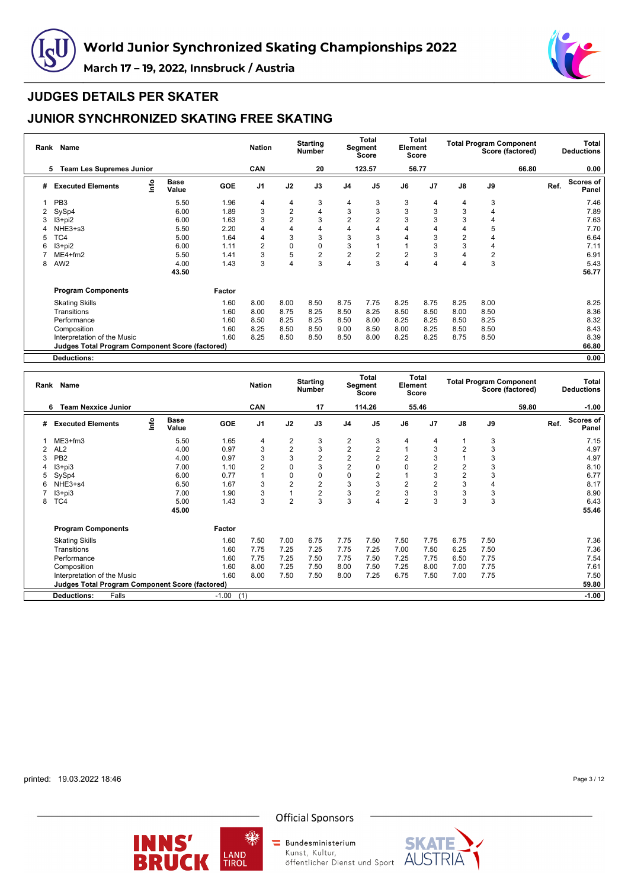



#### **JUDGES DETAILS PER SKATER**

# **JUNIOR SYNCHRONIZED SKATING FREE SKATING**

| Rank | Name                                            |      |               |        | <b>Nation</b>  |                | <b>Starting</b><br><b>Number</b> |                | Total<br>Segment<br><b>Score</b> | Element        | Total<br><b>Score</b> |                |      | <b>Total Program Component</b><br>Score (factored) |      | Total<br><b>Deductions</b> |
|------|-------------------------------------------------|------|---------------|--------|----------------|----------------|----------------------------------|----------------|----------------------------------|----------------|-----------------------|----------------|------|----------------------------------------------------|------|----------------------------|
|      | <b>Team Les Supremes Junior</b><br>5            |      |               |        | CAN            |                | 20                               |                | 123.57                           |                | 56.77                 |                |      | 66.80                                              |      | 0.00                       |
| #    | <b>Executed Elements</b>                        | lnfo | Base<br>Value | GOE    | J <sub>1</sub> | J2             | J3                               | J <sub>4</sub> | J <sub>5</sub>                   | J6             | J <sub>7</sub>        | J8             | J9   |                                                    | Ref. | <b>Scores of</b><br>Panel  |
|      | PB <sub>3</sub>                                 |      | 5.50          | 1.96   | 4              | 4              | 3                                | 4              | 3                                | 3              | 4                     | 4              | 3    |                                                    |      | 7.46                       |
|      | SySp4                                           |      | 6.00          | 1.89   | 3              | $\overline{2}$ | 4                                | 3              | 3                                | 3              | 3                     | 3              | 4    |                                                    |      | 7.89                       |
| 3    | I3+pi2                                          |      | 6.00          | 1.63   | 3              | $\overline{2}$ | 3                                | 2              | $\overline{2}$                   | 3              | 3                     | 3              | 4    |                                                    |      | 7.63                       |
|      | NHE3+s3                                         |      | 5.50          | 2.20   | 4              | 4              | 4                                | 4              | 4                                |                |                       | 4              | 5    |                                                    |      | 7.70                       |
| 5    | TC4                                             |      | 5.00          | 1.64   | 4              | 3              | 3                                | 3              | 3                                |                | 3                     | $\overline{2}$ | 4    |                                                    |      | 6.64                       |
| 6    | $13 + pi2$                                      |      | 6.00          | 1.11   | 2              | 0              | 0                                | 3              |                                  |                | 3                     | 3              | 4    |                                                    |      | 7.11                       |
|      | $ME4 + fm2$                                     |      | 5.50          | 1.41   | 3              | 5              | $\overline{c}$                   | $\overline{c}$ | $\overline{2}$                   | $\overline{2}$ | 3                     | $\overline{4}$ | 2    |                                                    |      | 6.91                       |
| 8    | AW <sub>2</sub>                                 |      | 4.00          | 1.43   | 3              | 4              | 3                                | 4              | 3                                |                | 4                     | $\overline{4}$ | 3    |                                                    |      | 5.43                       |
|      |                                                 |      | 43.50         |        |                |                |                                  |                |                                  |                |                       |                |      |                                                    |      | 56.77                      |
|      | <b>Program Components</b>                       |      |               | Factor |                |                |                                  |                |                                  |                |                       |                |      |                                                    |      |                            |
|      | <b>Skating Skills</b>                           |      |               | 1.60   | 8.00           | 8.00           | 8.50                             | 8.75           | 7.75                             | 8.25           | 8.75                  | 8.25           | 8.00 |                                                    |      | 8.25                       |
|      | Transitions                                     |      |               | 1.60   | 8.00           | 8.75           | 8.25                             | 8.50           | 8.25                             | 8.50           | 8.50                  | 8.00           | 8.50 |                                                    |      | 8.36                       |
|      | Performance                                     |      |               | 1.60   | 8.50           | 8.25           | 8.25                             | 8.50           | 8.00                             | 8.25           | 8.25                  | 8.50           | 8.25 |                                                    |      | 8.32                       |
|      | Composition                                     |      |               | 1.60   | 8.25           | 8.50           | 8.50                             | 9.00           | 8.50                             | 8.00           | 8.25                  | 8.50           | 8.50 |                                                    |      | 8.43                       |
|      | Interpretation of the Music                     |      |               | 1.60   | 8.25           | 8.50           | 8.50                             | 8.50           | 8.00                             | 8.25           | 8.25                  | 8.75           | 8.50 |                                                    |      | 8.39                       |
|      | Judges Total Program Component Score (factored) |      |               |        |                |                |                                  |                |                                  |                |                       |                |      |                                                    |      | 66.80                      |
|      | <b>Deductions:</b>                              |      |               |        |                |                |                                  |                |                                  |                |                       |                |      |                                                    |      | 0.00                       |

**Rank Name Nation Starting Number Total Segment Score Total Element Score Total Program Component Score (factored) Total Deductions 6 Team Nexxice Junior CAN 17 114.26 55.46 59.80 -1.00 # Executed Elements Info Base Value GOE J1 J2 J3 J4 J5 J6 J7 J8 J9 Ref. Scores of Panel** 1 ME3+fm3 5.50 1.65 4 2 3 2 3 4 4 1 3 7.15 2 AL2 4.00 0.97 3 2 3 2 2 1 3 2 3 4.97 3 PB2 4.00 0.97 3 3 2 2 2 2 3 1 3 4.97 4 I3+pi3 7.00 1.10 2 0 3 2 0 0 2 2 3 8.10 5 SySp4 6.00 0.77 1 0 0 0 2 1 3 2 3 6.77 6 NHE3+s4 6.50 1.67 3 2 2 3 3 2 2 3 4 8.17 7 I3+pi3 7.00 1.90 3 1 2 3 2 3 3 3 3 8.90 8 TC4 5.00 1.43 3 2 3 3 4 2 3 3 3 6.43 **45.00 55.46 Program Components Factor** Skating Skills 1.60 7.50 7.00 6.75 7.75 7.50 7.50 7.75 6.75 7.50 7.36 Transitions 1.60 7.75 7.25 7.25 7.75 7.25 7.00 7.50 6.25 7.50 7.36 Performance 1.60 7.75 7.25 7.50 7.75 7.50 7.25 7.75 6.50 7.75 7.54 Composition 1.60 8.00 7.25 7.50 8.00 7.50 7.25 8.00 7.00 7.75 7.61 Interpretation of the Music<br>Interpretation of the Music 1.60 8.00 7.50 7.50 7.50 8.00 7.25 6.75 7.50 7.00 7.75 7.50 7.50<br>Judges Total Program Component Score (factored) **Judges Total Program Component Score (factored) 59.80 Deductions:** Falls -1.00 (1) **-1.00**

printed: 19.03.2022 18:46

Page 3 / 12





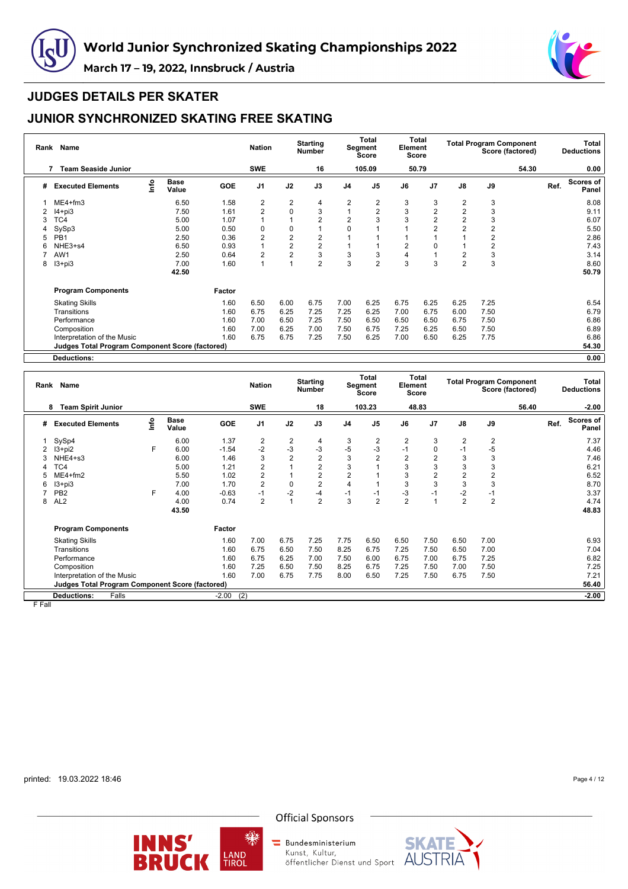



# **JUDGES DETAILS PER SKATER**

# **JUNIOR SYNCHRONIZED SKATING FREE SKATING**

| Rank | Name                                                   |      |                      |            | <b>Nation</b>  |                | <b>Starting</b><br><b>Number</b> |                | Total<br>Segment<br>Score | Element        | Total<br>Score |                         |      | <b>Total Program Component</b><br>Score (factored) |      | Total<br><b>Deductions</b> |
|------|--------------------------------------------------------|------|----------------------|------------|----------------|----------------|----------------------------------|----------------|---------------------------|----------------|----------------|-------------------------|------|----------------------------------------------------|------|----------------------------|
|      | <b>Team Seaside Junior</b><br>7                        |      |                      |            | <b>SWE</b>     |                | 16                               |                | 105.09                    |                | 50.79          |                         |      | 54.30                                              |      | 0.00                       |
| #    | <b>Executed Elements</b>                               | Info | <b>Base</b><br>Value | <b>GOE</b> | J <sub>1</sub> | J2             | J3                               | J <sub>4</sub> | J <sub>5</sub>            | J6             | J <sub>7</sub> | J8                      | J9   |                                                    | Ref. | Scores of<br>Panel         |
|      | ME4+fm3                                                |      | 6.50                 | 1.58       | 2              | 2              | 4                                | 2              | $\overline{2}$            | 3              | 3              | 2                       | 3    |                                                    |      | 8.08                       |
|      | $I4 + pi3$                                             |      | 7.50                 | 1.61       | $\overline{2}$ | 0              | 3                                | 1              | 2                         | 3              | $\overline{2}$ | $\overline{\mathbf{c}}$ | 3    |                                                    |      | 9.11                       |
| 3    | TC4                                                    |      | 5.00                 | 1.07       | 1              |                | $\overline{2}$                   | $\overline{2}$ | 3                         | 3              | $\overline{2}$ | $\overline{2}$          | 3    |                                                    |      | 6.07                       |
| 4    | SySp3                                                  |      | 5.00                 | 0.50       | 0              | 0              |                                  | 0              |                           |                | $\overline{2}$ | $\overline{2}$          | 2    |                                                    |      | 5.50                       |
| 5    | PB <sub>1</sub>                                        |      | 2.50                 | 0.36       | $\overline{2}$ | 2              | $\overline{2}$                   |                |                           |                |                |                         | 2    |                                                    |      | 2.86                       |
| 6    | NHE3+s4                                                |      | 6.50                 | 0.93       | $\mathbf{1}$   | $\overline{2}$ | $\overline{2}$                   |                |                           | $\overline{2}$ | 0              |                         | 2    |                                                    |      | 7.43                       |
|      | AW1                                                    |      | 2.50                 | 0.64       | $\overline{2}$ | $\overline{2}$ | 3                                | 3              | 3                         | 4              |                | $\overline{2}$          | 3    |                                                    |      | 3.14                       |
| 8    | $13 + pi3$                                             |      | 7.00                 | 1.60       | 1              |                | $\overline{2}$                   | 3              | $\overline{2}$            | 3              | 3              | $\overline{2}$          | 3    |                                                    |      | 8.60                       |
|      |                                                        |      | 42.50                |            |                |                |                                  |                |                           |                |                |                         |      |                                                    |      | 50.79                      |
|      | <b>Program Components</b>                              |      |                      | Factor     |                |                |                                  |                |                           |                |                |                         |      |                                                    |      |                            |
|      | <b>Skating Skills</b>                                  |      |                      | 1.60       | 6.50           | 6.00           | 6.75                             | 7.00           | 6.25                      | 6.75           | 6.25           | 6.25                    | 7.25 |                                                    |      | 6.54                       |
|      | Transitions                                            |      |                      | 1.60       | 6.75           | 6.25           | 7.25                             | 7.25           | 6.25                      | 7.00           | 6.75           | 6.00                    | 7.50 |                                                    |      | 6.79                       |
|      | Performance                                            |      |                      | 1.60       | 7.00           | 6.50           | 7.25                             | 7.50           | 6.50                      | 6.50           | 6.50           | 6.75                    | 7.50 |                                                    |      | 6.86                       |
|      | Composition                                            |      |                      | 1.60       | 7.00           | 6.25           | 7.00                             | 7.50           | 6.75                      | 7.25           | 6.25           | 6.50                    | 7.50 |                                                    |      | 6.89                       |
|      | Interpretation of the Music                            |      |                      | 1.60       | 6.75           | 6.75           | 7.25                             | 7.50           | 6.25                      | 7.00           | 6.50           | 6.25                    | 7.75 |                                                    |      | 6.86                       |
|      | <b>Judges Total Program Component Score (factored)</b> |      |                      |            |                |                |                                  |                |                           |                |                |                         |      |                                                    |      | 54.30                      |
|      | <b>Deductions:</b>                                     |      |                      |            |                |                |                                  |                |                           |                |                |                         |      |                                                    |      | 0.00                       |

| Rank | Name                                                     |      |                      |            | <b>Nation</b>  |                | <b>Starting</b><br><b>Number</b> |                         | Total<br>Segment<br>Score | Element        | Total<br><b>Score</b> |                |                | <b>Total Program Component</b><br>Score (factored) |      | Total<br><b>Deductions</b> |
|------|----------------------------------------------------------|------|----------------------|------------|----------------|----------------|----------------------------------|-------------------------|---------------------------|----------------|-----------------------|----------------|----------------|----------------------------------------------------|------|----------------------------|
|      | <b>Team Spirit Junior</b><br>8                           |      |                      |            | <b>SWE</b>     |                | 18                               |                         | 103.23                    |                | 48.83                 |                |                | 56.40                                              |      | $-2.00$                    |
| #    | <b>Executed Elements</b>                                 | lnfo | <b>Base</b><br>Value | <b>GOE</b> | J <sub>1</sub> | J2             | J3                               | J <sub>4</sub>          | J <sub>5</sub>            | J6             | J7                    | $\mathsf{J}8$  | J9             |                                                    | Ref. | Scores of<br>Panel         |
|      | SySp4                                                    |      | 6.00                 | 1.37       | 2              | $\overline{2}$ | $\overline{4}$                   | 3                       | 2                         | $\overline{2}$ | 3                     | $\overline{2}$ | $\overline{2}$ |                                                    |      | 7.37                       |
|      | $13 + pi2$                                               | F    | 6.00                 | $-1.54$    | $-2$           | $-3$           | $-3$                             | $-5$                    | $-3$                      | $-1$           | 0                     | $-1$           | -5             |                                                    |      | 4.46                       |
|      | NHE4+s3                                                  |      | 6.00                 | 1.46       | 3              | $\overline{2}$ | $\overline{2}$                   | 3                       | $\overline{2}$            | $\overline{2}$ | $\overline{2}$        | 3              | 3              |                                                    |      | 7.46                       |
|      | TC4                                                      |      | 5.00                 | 1.21       | 2              |                | $\overline{2}$                   | 3                       |                           | 3              | 3                     | 3              | 3              |                                                    |      | 6.21                       |
|      | $ME4 + fm2$                                              |      | 5.50                 | 1.02       | 2              |                | $\overline{2}$                   | $\overline{2}$          |                           | 3              | $\overline{2}$        | $\overline{2}$ | $\overline{2}$ |                                                    |      | 6.52                       |
| 6    | $13 + pi3$                                               |      | 7.00                 | 1.70       | $\overline{2}$ | 0              | $\overline{2}$                   | $\overline{\mathbf{4}}$ |                           | 3              | 3                     | 3              | 3              |                                                    |      | 8.70                       |
|      | PB <sub>2</sub>                                          | F    | 4.00                 | $-0.63$    | $-1$           | $-2$           | $-4$                             | $-1$                    | $-1$                      | -3             | $-1$                  | $-2$           | $-1$           |                                                    |      | 3.37                       |
| 8    | AL <sub>2</sub>                                          |      | 4.00                 | 0.74       | $\overline{2}$ | 1              | $\overline{2}$                   | 3                       | $\overline{2}$            | $\overline{2}$ |                       | $\overline{2}$ | $\overline{2}$ |                                                    |      | 4.74                       |
|      |                                                          |      | 43.50                |            |                |                |                                  |                         |                           |                |                       |                |                |                                                    |      | 48.83                      |
|      | <b>Program Components</b>                                |      |                      | Factor     |                |                |                                  |                         |                           |                |                       |                |                |                                                    |      |                            |
|      | <b>Skating Skills</b>                                    |      |                      | 1.60       | 7.00           | 6.75           | 7.25                             | 7.75                    | 6.50                      | 6.50           | 7.50                  | 6.50           | 7.00           |                                                    |      | 6.93                       |
|      | Transitions                                              |      |                      | 1.60       | 6.75           | 6.50           | 7.50                             | 8.25                    | 6.75                      | 7.25           | 7.50                  | 6.50           | 7.00           |                                                    |      | 7.04                       |
|      | Performance                                              |      |                      | 1.60       | 6.75           | 6.25           | 7.00                             | 7.50                    | 6.00                      | 6.75           | 7.00                  | 6.75           | 7.25           |                                                    |      | 6.82                       |
|      | Composition                                              |      |                      | 1.60       | 7.25           | 6.50           | 7.50                             | 8.25                    | 6.75                      | 7.25           | 7.50                  | 7.00           | 7.50           |                                                    |      | 7.25                       |
|      | Interpretation of the Music                              |      |                      | 1.60       | 7.00           | 6.75           | 7.75                             | 8.00                    | 6.50                      | 7.25           | 7.50                  | 6.75           | 7.50           |                                                    |      | 7.21                       |
|      | Judges Total Program Component Score (factored)<br>56.40 |      |                      |            |                |                |                                  |                         |                           |                |                       |                |                |                                                    |      |                            |
|      | Falls<br><b>Deductions:</b>                              |      |                      | $-2.00$    | (2)            |                |                                  |                         |                           |                |                       |                |                |                                                    |      | $-2.00$                    |

F Fall

printed: 19.03.2022 18:46

Page 4 / 12





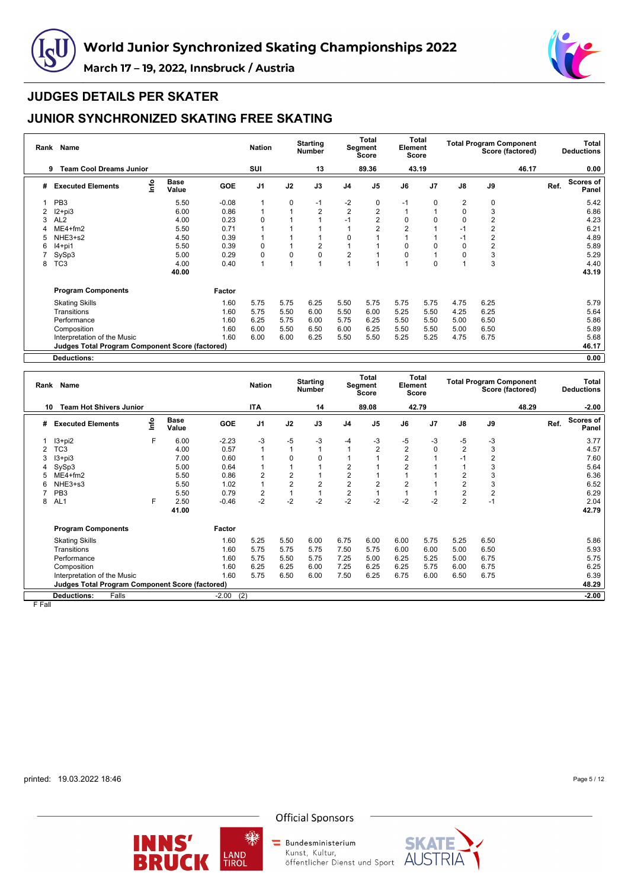



#### **JUDGES DETAILS PER SKATER**

# **JUNIOR SYNCHRONIZED SKATING FREE SKATING**

| Rank | Name                                                   |      |                      |            | <b>Nation</b>  |             | <b>Starting</b><br><b>Number</b> |                | <b>Total</b><br>Segment<br>Score | Element        | Total<br>Score |      |      | <b>Total Program Component</b><br>Score (factored) |      | Total<br><b>Deductions</b> |
|------|--------------------------------------------------------|------|----------------------|------------|----------------|-------------|----------------------------------|----------------|----------------------------------|----------------|----------------|------|------|----------------------------------------------------|------|----------------------------|
|      | <b>Team Cool Dreams Junior</b><br>9                    |      |                      |            | SUI            |             | 13                               |                | 89.36                            |                | 43.19          |      |      | 46.17                                              |      | 0.00                       |
| #    | <b>Executed Elements</b>                               | Info | <b>Base</b><br>Value | <b>GOE</b> | J <sub>1</sub> | J2          | J3                               | J <sub>4</sub> | J <sub>5</sub>                   | J6             | J <sub>7</sub> | J8   | J9   |                                                    | Ref. | Scores of<br>Panel         |
|      | PB <sub>3</sub>                                        |      | 5.50                 | $-0.08$    | 1              | $\mathbf 0$ | $-1$                             | -2             | 0                                | $-1$           | 0              | 2    | 0    |                                                    |      | 5.42                       |
|      | $12 + pi3$                                             |      | 6.00                 | 0.86       | $\mathbf{1}$   |             | $\overline{2}$                   | $\overline{2}$ | 2                                |                |                | 0    | 3    |                                                    |      | 6.86                       |
| 3    | AL <sub>2</sub>                                        |      | 4.00                 | 0.23       | 0              |             |                                  | $-1$           | 2                                | 0              |                | 0    | 2    |                                                    |      | 4.23                       |
| 4    | $ME4 + fm2$                                            |      | 5.50                 | 0.71       |                |             |                                  |                | 2                                | $\overline{2}$ |                | $-1$ | 2    |                                                    |      | 6.21                       |
| 5    | NHE3+s2                                                |      | 4.50                 | 0.39       |                |             |                                  | $\Omega$       |                                  |                |                | $-1$ | 2    |                                                    |      | 4.89                       |
| 6    | $I4+pi1$                                               |      | 5.50                 | 0.39       | 0              |             | $\overline{2}$                   |                |                                  | $\Omega$       | O              | 0    | 2    |                                                    |      | 5.89                       |
|      | SySp3                                                  |      | 5.00                 | 0.29       | 0              | $\Omega$    | 0                                | $\overline{2}$ |                                  | $\Omega$       |                | 0    | 3    |                                                    |      | 5.29                       |
| 8    | TC <sub>3</sub>                                        |      | 4.00                 | 0.40       | $\overline{1}$ |             |                                  |                |                                  |                | $\Omega$       |      | 3    |                                                    |      | 4.40                       |
|      |                                                        |      | 40.00                |            |                |             |                                  |                |                                  |                |                |      |      |                                                    |      | 43.19                      |
|      | <b>Program Components</b>                              |      |                      | Factor     |                |             |                                  |                |                                  |                |                |      |      |                                                    |      |                            |
|      | <b>Skating Skills</b>                                  |      |                      | 1.60       | 5.75           | 5.75        | 6.25                             | 5.50           | 5.75                             | 5.75           | 5.75           | 4.75 | 6.25 |                                                    |      | 5.79                       |
|      | Transitions                                            |      |                      | 1.60       | 5.75           | 5.50        | 6.00                             | 5.50           | 6.00                             | 5.25           | 5.50           | 4.25 | 6.25 |                                                    |      | 5.64                       |
|      | Performance                                            |      |                      | 1.60       | 6.25           | 5.75        | 6.00                             | 5.75           | 6.25                             | 5.50           | 5.50           | 5.00 | 6.50 |                                                    |      | 5.86                       |
|      | Composition                                            |      |                      | 1.60       | 6.00           | 5.50        | 6.50                             | 6.00           | 6.25                             | 5.50           | 5.50           | 5.00 | 6.50 |                                                    |      | 5.89                       |
|      | Interpretation of the Music                            |      |                      | 1.60       | 6.00           | 6.00        | 6.25                             | 5.50           | 5.50                             | 5.25           | 5.25           | 4.75 | 6.75 |                                                    |      | 5.68                       |
|      | <b>Judges Total Program Component Score (factored)</b> |      |                      |            |                |             |                                  |                |                                  |                |                |      |      |                                                    |      | 46.17                      |
|      | <b>Deductions:</b>                                     |      |                      |            |                |             |                                  |                |                                  |                |                |      |      |                                                    |      | 0.00                       |

| Rank | Name                                                   |      |                      |            | <b>Nation</b>  |                | <b>Starting</b><br><b>Number</b> |                | Total<br>Segment<br>Score | Element        | Total<br>Score |                |                         | <b>Total Program Component</b><br>Score (factored) |      | Total<br><b>Deductions</b> |
|------|--------------------------------------------------------|------|----------------------|------------|----------------|----------------|----------------------------------|----------------|---------------------------|----------------|----------------|----------------|-------------------------|----------------------------------------------------|------|----------------------------|
| 10   | <b>Team Hot Shivers Junior</b>                         |      |                      |            | <b>ITA</b>     |                | 14                               |                | 89.08                     |                | 42.79          |                |                         | 48.29                                              |      | $-2.00$                    |
| #    | <b>Executed Elements</b>                               | info | <b>Base</b><br>Value | <b>GOE</b> | J <sub>1</sub> | J2             | J3                               | J <sub>4</sub> | J <sub>5</sub>            | J6             | J <sub>7</sub> | $\mathsf{J}8$  | $\mathsf{J9}$           |                                                    | Ref. | Scores of<br>Panel         |
|      | $13 + pi2$                                             | F.   | 6.00                 | $-2.23$    | -3             | -5             | -3                               | $-4$           | -3                        | -5             | -3             | -5             | $-3$                    |                                                    |      | 3.77                       |
|      | TC <sub>3</sub>                                        |      | 4.00                 | 0.57       |                |                | 1                                |                | $\overline{2}$            | $\overline{2}$ | 0              | $\overline{2}$ | 3                       |                                                    |      | 4.57                       |
| 3    | $13 + pi3$                                             |      | 7.00                 | 0.60       |                | $\Omega$       | $\Omega$                         |                |                           | 2              |                | $-1$           | 2                       |                                                    |      | 7.60                       |
|      | SySp3                                                  |      | 5.00                 | 0.64       |                |                |                                  | 2              |                           |                |                |                | 3                       |                                                    |      | 5.64                       |
|      | ME4+fm2                                                |      | 5.50                 | 0.86       | 2              | $\overline{2}$ |                                  | $\overline{2}$ |                           |                |                | $\overline{2}$ | 3                       |                                                    |      | 6.36                       |
| 6    | NHE3+s3                                                |      | 5.50                 | 1.02       |                | $\overline{2}$ | $\overline{2}$                   | $\overline{2}$ | $\overline{2}$            | 2              |                | $\overline{2}$ | 3                       |                                                    |      | 6.52                       |
|      | PB <sub>3</sub>                                        |      | 5.50                 | 0.79       | 2              |                |                                  | $\overline{c}$ |                           |                |                | $\overline{2}$ | $\overline{\mathbf{c}}$ |                                                    |      | 6.29                       |
| 8    | AL <sub>1</sub>                                        | F    | 2.50                 | $-0.46$    | $-2$           | $-2$           | $-2$                             | $-2$           | $-2$                      | $-2$           | $-2$           | $\overline{2}$ | $-1$                    |                                                    |      | 2.04                       |
|      |                                                        |      | 41.00                |            |                |                |                                  |                |                           |                |                |                |                         |                                                    |      | 42.79                      |
|      | <b>Program Components</b>                              |      |                      | Factor     |                |                |                                  |                |                           |                |                |                |                         |                                                    |      |                            |
|      | <b>Skating Skills</b>                                  |      |                      | 1.60       | 5.25           | 5.50           | 6.00                             | 6.75           | 6.00                      | 6.00           | 5.75           | 5.25           | 6.50                    |                                                    |      | 5.86                       |
|      | Transitions                                            |      |                      | 1.60       | 5.75           | 5.75           | 5.75                             | 7.50           | 5.75                      | 6.00           | 6.00           | 5.00           | 6.50                    |                                                    |      | 5.93                       |
|      | Performance                                            |      |                      | 1.60       | 5.75           | 5.50           | 5.75                             | 7.25           | 5.00                      | 6.25           | 5.25           | 5.00           | 6.75                    |                                                    |      | 5.75                       |
|      | Composition                                            |      |                      | 1.60       | 6.25           | 6.25           | 6.00                             | 7.25           | 6.25                      | 6.25           | 5.75           | 6.00           | 6.75                    |                                                    |      | 6.25                       |
|      | Interpretation of the Music                            |      |                      | 1.60       | 5.75           | 6.50           | 6.00                             | 7.50           | 6.25                      | 6.75           | 6.00           | 6.50           | 6.75                    |                                                    |      | 6.39                       |
|      | <b>Judges Total Program Component Score (factored)</b> |      |                      |            |                |                |                                  |                |                           |                |                |                |                         |                                                    |      | 48.29                      |
|      | Falls<br><b>Deductions:</b>                            |      |                      | $-2.00$    | (2)            |                |                                  |                |                           |                |                |                |                         |                                                    |      | $-2.00$                    |

F Fall

printed: 19.03.2022 18:46

Page 5 / 12





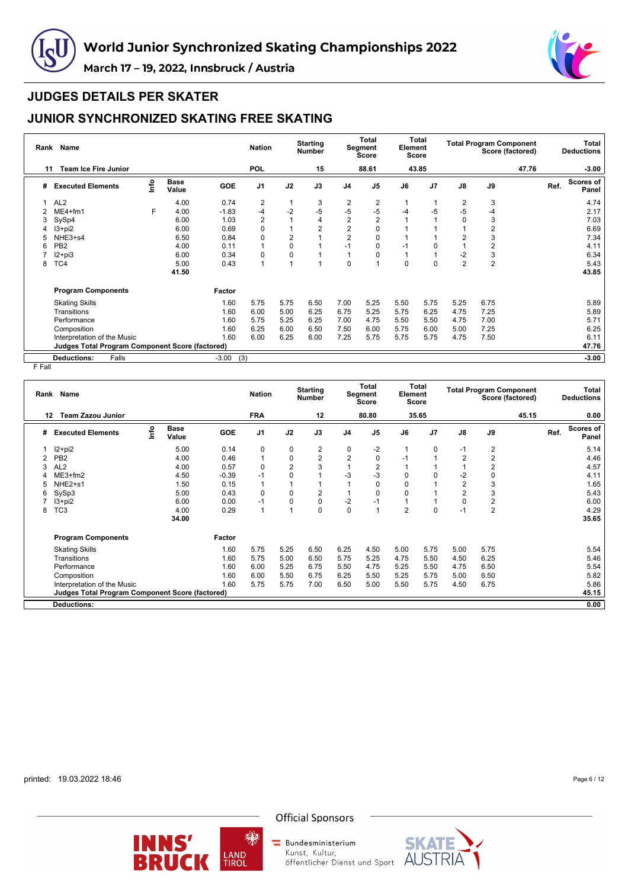



#### **JUDGES DETAILS PER SKATER**

# **JUNIOR SYNCHRONIZED SKATING FREE SKATING**

| Rank | <b>Name</b>                                            |      |                      |                | <b>Nation</b>  |                | <b>Starting</b><br><b>Number</b> |                | <b>Total</b><br>Segment<br>Score | Element  | Total<br>Score |                |                | <b>Total Program Component</b><br>Score (factored) |      | <b>Total</b><br><b>Deductions</b> |
|------|--------------------------------------------------------|------|----------------------|----------------|----------------|----------------|----------------------------------|----------------|----------------------------------|----------|----------------|----------------|----------------|----------------------------------------------------|------|-----------------------------------|
| 11   | <b>Team Ice Fire Junior</b>                            |      |                      |                | <b>POL</b>     |                | 15                               |                | 88.61                            |          | 43.85          |                |                | 47.76                                              |      | $-3.00$                           |
| #    | <b>Executed Elements</b>                               | lnfo | <b>Base</b><br>Value | <b>GOE</b>     | J <sub>1</sub> | J2             | J3                               | J <sub>4</sub> | J <sub>5</sub>                   | J6       | J <sub>7</sub> | J8             | J9             |                                                    | Ref. | <b>Scores of</b><br>Panel         |
|      | AL <sub>2</sub>                                        |      | 4.00                 | 0.74           | 2              | 1              | 3                                | 2              | 2                                |          |                | 2              | 3              |                                                    |      | 4.74                              |
|      | $ME4+fm1$                                              | F    | 4.00                 | $-1.83$        | -4             | $-2$           | $-5$                             | $-5$           | $-5$                             | -4       | -5             | $-5$           | -4             |                                                    |      | 2.17                              |
| 3    | SySp4                                                  |      | 6.00                 | 1.03           | $\overline{2}$ | 1              | 4                                | $\overline{2}$ | 2                                |          |                | 0              | 3              |                                                    |      | 7.03                              |
|      | $13 + pi2$                                             |      | 6.00                 | 0.69           | 0              |                | 2                                | $\overline{2}$ | 0                                |          |                |                | 2              |                                                    |      | 6.69                              |
|      | NHE3+s4                                                |      | 6.50                 | 0.84           | 0              | $\overline{2}$ |                                  | $\overline{2}$ | 0                                |          |                | 2              | 3              |                                                    |      | 7.34                              |
| 6    | PB <sub>2</sub>                                        |      | 4.00                 | 0.11           | 1              | 0              |                                  | $-1$           | 0                                | $-1$     | $\Omega$       |                | $\overline{2}$ |                                                    |      | 4.11                              |
|      | $12 + pi3$                                             |      | 6.00                 | 0.34           | 0              | 0              |                                  |                | 0                                |          |                | $-2$           | 3              |                                                    |      | 6.34                              |
| 8    | TC4                                                    |      | 5.00                 | 0.43           | 1              | $\overline{1}$ |                                  | $\mathbf 0$    |                                  | $\Omega$ | $\Omega$       | $\overline{2}$ | $\overline{2}$ |                                                    |      | 5.43                              |
|      |                                                        |      | 41.50                |                |                |                |                                  |                |                                  |          |                |                |                |                                                    |      | 43.85                             |
|      | <b>Program Components</b>                              |      |                      | Factor         |                |                |                                  |                |                                  |          |                |                |                |                                                    |      |                                   |
|      | <b>Skating Skills</b>                                  |      |                      | 1.60           | 5.75           | 5.75           | 6.50                             | 7.00           | 5.25                             | 5.50     | 5.75           | 5.25           | 6.75           |                                                    |      | 5.89                              |
|      | Transitions                                            |      |                      | 1.60           | 6.00           | 5.00           | 6.25                             | 6.75           | 5.25                             | 5.75     | 6.25           | 4.75           | 7.25           |                                                    |      | 5.89                              |
|      | Performance                                            |      |                      | 1.60           | 5.75           | 5.25           | 6.25                             | 7.00           | 4.75                             | 5.50     | 5.50           | 4.75           | 7.00           |                                                    |      | 5.71                              |
|      | Composition                                            |      |                      | 1.60           | 6.25           | 6.00           | 6.50                             | 7.50           | 6.00                             | 5.75     | 6.00           | 5.00           | 7.25           |                                                    |      | 6.25                              |
|      | Interpretation of the Music                            |      |                      | 1.60           | 6.00           | 6.25           | 6.00                             | 7.25           | 5.75                             | 5.75     | 5.75           | 4.75           | 7.50           |                                                    |      | 6.11                              |
|      | <b>Judges Total Program Component Score (factored)</b> |      |                      |                |                |                |                                  |                |                                  |          |                |                |                |                                                    |      | 47.76                             |
|      | <b>Deductions:</b><br>Falls                            |      |                      | $-3.00$<br>(3) |                |                |                                  |                |                                  |          |                |                |                |                                                    |      | $-3.00$                           |

F Fall

| Rank | Name                                            |      |                      |         | <b>Nation</b>  |                | <b>Starting</b><br>Number |                | <b>Total</b><br>Segment<br><b>Score</b> | Element        | Total<br>Score |                         |                         | <b>Total Program Component</b><br>Score (factored) |      | <b>Total</b><br><b>Deductions</b> |
|------|-------------------------------------------------|------|----------------------|---------|----------------|----------------|---------------------------|----------------|-----------------------------------------|----------------|----------------|-------------------------|-------------------------|----------------------------------------------------|------|-----------------------------------|
| 12   | <b>Team Zazou Junior</b>                        |      |                      |         | <b>FRA</b>     |                | 12                        |                | 80.80                                   |                | 35.65          |                         |                         | 45.15                                              |      | 0.00                              |
| #    | <b>Executed Elements</b>                        | lnfo | <b>Base</b><br>Value | GOE     | J <sub>1</sub> | J2             | J3                        | J <sub>4</sub> | J <sub>5</sub>                          | J6             | J <sub>7</sub> | $\mathsf{J}8$           | J9                      |                                                    | Ref. | Scores of<br><b>Panel</b>         |
|      | $12+pi2$                                        |      | 5.00                 | 0.14    | 0              | 0              | 2                         | 0              | $-2$                                    |                | $\Omega$       | $-1$                    | 2                       |                                                    |      | 5.14                              |
|      | PB <sub>2</sub>                                 |      | 4.00                 | 0.46    |                | $\mathbf 0$    | $\overline{2}$            | $\overline{2}$ | 0                                       | -1             |                | $\overline{2}$          | $\overline{\mathbf{c}}$ |                                                    |      | 4.46                              |
| 3    | AL <sub>2</sub>                                 |      | 4.00                 | 0.57    | 0              | $\overline{2}$ | 3                         |                | $\overline{2}$                          |                |                |                         | $\overline{c}$          |                                                    |      | 4.57                              |
| 4    | $ME3+fm2$                                       |      | 4.50                 | $-0.39$ | $-1$           | 0              |                           | -3             | $-3$                                    | 0              |                | -2                      | 0                       |                                                    |      | 4.11                              |
| 5    | NHE <sub>2+s1</sub>                             |      | 1.50                 | 0.15    |                |                |                           |                | $\Omega$                                | $\Omega$       |                | $\overline{\mathbf{c}}$ | 3                       |                                                    |      | 1.65                              |
| 6    | SySp3                                           |      | 5.00                 | 0.43    | 0              | $\mathbf 0$    | 2                         |                | $\Omega$                                | $\Omega$       |                | $\overline{2}$          | 3                       |                                                    |      | 5.43                              |
|      | $13+pi2$                                        |      | 6.00                 | 0.00    | $-1$           | $\mathbf 0$    | $\mathbf 0$               | $-2$           | $-1$                                    |                |                | $\mathbf 0$             | $\overline{\mathbf{c}}$ |                                                    |      | 6.00                              |
| 8    | TC <sub>3</sub>                                 |      | 4.00                 | 0.29    | $\overline{1}$ |                | $\mathbf 0$               | $\mathbf 0$    |                                         | $\overline{2}$ | 0              | $-1$                    | $\overline{2}$          |                                                    |      | 4.29                              |
|      |                                                 |      | 34.00                |         |                |                |                           |                |                                         |                |                |                         |                         |                                                    |      | 35.65                             |
|      | <b>Program Components</b>                       |      |                      | Factor  |                |                |                           |                |                                         |                |                |                         |                         |                                                    |      |                                   |
|      | <b>Skating Skills</b>                           |      |                      | 1.60    | 5.75           | 5.25           | 6.50                      | 6.25           | 4.50                                    | 5.00           | 5.75           | 5.00                    | 5.75                    |                                                    |      | 5.54                              |
|      | Transitions                                     |      |                      | 1.60    | 5.75           | 5.00           | 6.50                      | 5.75           | 5.25                                    | 4.75           | 5.50           | 4.50                    | 6.25                    |                                                    |      | 5.46                              |
|      | Performance                                     |      |                      | 1.60    | 6.00           | 5.25           | 6.75                      | 5.50           | 4.75                                    | 5.25           | 5.50           | 4.75                    | 6.50                    |                                                    |      | 5.54                              |
|      | Composition                                     |      |                      | 1.60    | 6.00           | 5.50           | 6.75                      | 6.25           | 5.50                                    | 5.25           | 5.75           | 5.00                    | 6.50                    |                                                    |      | 5.82                              |
|      | Interpretation of the Music                     |      |                      | 1.60    | 5.75           | 5.75           | 7.00                      | 6.50           | 5.00                                    | 5.50           | 5.75           | 4.50                    | 6.75                    |                                                    |      | 5.86                              |
|      | Judges Total Program Component Score (factored) |      |                      |         |                |                |                           |                |                                         |                |                |                         |                         |                                                    |      | 45.15                             |
|      | <b>Deductions:</b>                              |      |                      |         |                |                |                           |                |                                         |                |                |                         |                         |                                                    |      | 0.00                              |
|      |                                                 |      |                      |         |                |                |                           |                |                                         |                |                |                         |                         |                                                    |      |                                   |

printed: 19.03.2022 18:46

Page 6 / 12



樂

**Official Sponsors** 

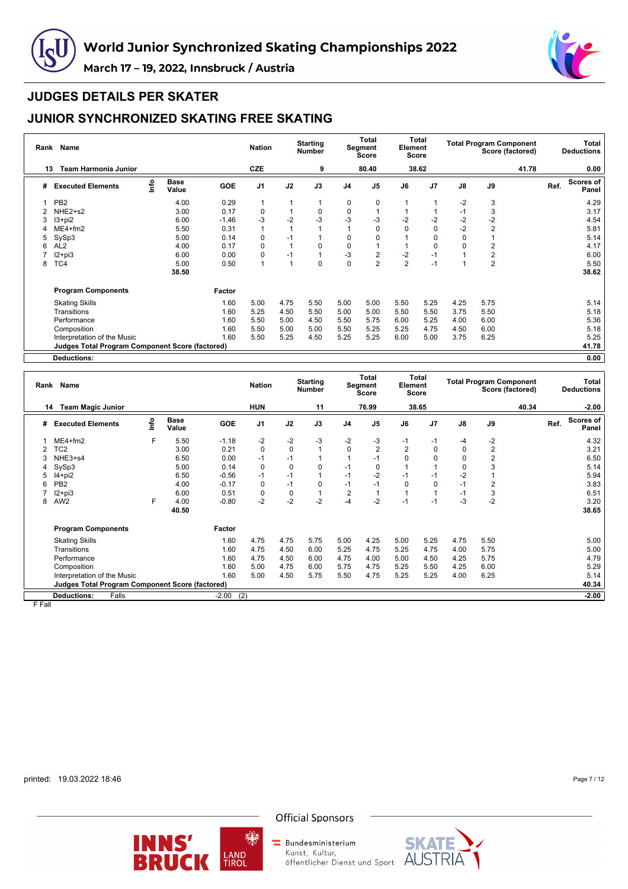



# **JUDGES DETAILS PER SKATER**

# **JUNIOR SYNCHRONIZED SKATING FREE SKATING**

| Rank | Name                                                   |      |                      |            | <b>Nation</b>  |      | <b>Starting</b><br><b>Number</b> |                | <b>Total</b><br>Segment<br>Score | Element        | Total<br>Score |      |                | <b>Total Program Component</b><br>Score (factored) |      | Total<br><b>Deductions</b> |
|------|--------------------------------------------------------|------|----------------------|------------|----------------|------|----------------------------------|----------------|----------------------------------|----------------|----------------|------|----------------|----------------------------------------------------|------|----------------------------|
| 13   | <b>Team Harmonia Junior</b>                            |      |                      |            | CZE            |      | 9                                |                | 80.40                            |                | 38.62          |      |                | 41.78                                              |      | 0.00                       |
| #    | <b>Executed Elements</b>                               | lnfo | <b>Base</b><br>Value | <b>GOE</b> | J <sub>1</sub> | J2   | J3                               | J <sub>4</sub> | J <sub>5</sub>                   | J6             | J <sub>7</sub> | J8   | J9             |                                                    | Ref. | Scores of<br>Panel         |
|      | PB <sub>2</sub>                                        |      | 4.00                 | 0.29       | $\mathbf{1}$   |      | 1                                | 0              | 0                                |                |                | $-2$ | 3              |                                                    |      | 4.29                       |
|      | NHE2+s2                                                |      | 3.00                 | 0.17       | 0              |      | 0                                | 0              |                                  |                |                | $-1$ | 3              |                                                    |      | 3.17                       |
| 3    | $13 + pi2$                                             |      | 6.00                 | $-1.46$    | $-3$           | $-2$ | $-3$                             | -3             | -3                               | $-2$           | $-2$           | $-2$ | $-2$           |                                                    |      | 4.54                       |
| 4    | $ME4 + fm2$                                            |      | 5.50                 | 0.31       | 1              |      |                                  |                | 0                                | $\Omega$       | 0              | $-2$ | 2              |                                                    |      | 5.81                       |
| 5    | SySp3                                                  |      | 5.00                 | 0.14       | 0              | -1   |                                  | $\Omega$       | O                                |                | 0              | 0    |                |                                                    |      | 5.14                       |
| 6    | AL <sub>2</sub>                                        |      | 4.00                 | 0.17       | 0              |      | $\Omega$                         | $\mathbf 0$    |                                  |                | $\Omega$       | 0    | 2              |                                                    |      | 4.17                       |
|      | $12 + pi3$                                             |      | 6.00                 | 0.00       | $\mathbf 0$    | $-1$ | 1                                | $-3$           | 2                                | $-2$           | $-1$           |      | 2              |                                                    |      | 6.00                       |
| 8    | TC4                                                    |      | 5.00                 | 0.50       | $\mathbf{1}$   |      | 0                                | $\mathbf{0}$   | $\overline{2}$                   | $\overline{2}$ | $-1$           |      | $\overline{2}$ |                                                    |      | 5.50                       |
|      |                                                        |      | 38.50                |            |                |      |                                  |                |                                  |                |                |      |                |                                                    |      | 38.62                      |
|      | <b>Program Components</b>                              |      |                      | Factor     |                |      |                                  |                |                                  |                |                |      |                |                                                    |      |                            |
|      | <b>Skating Skills</b>                                  |      |                      | 1.60       | 5.00           | 4.75 | 5.50                             | 5.00           | 5.00                             | 5.50           | 5.25           | 4.25 | 5.75           |                                                    |      | 5.14                       |
|      | Transitions                                            |      |                      | 1.60       | 5.25           | 4.50 | 5.50                             | 5.00           | 5.00                             | 5.50           | 5.50           | 3.75 | 5.50           |                                                    |      | 5.18                       |
|      | Performance                                            |      |                      | 1.60       | 5.50           | 5.00 | 4.50                             | 5.50           | 5.75                             | 6.00           | 5.25           | 4.00 | 6.00           |                                                    |      | 5.36                       |
|      | Composition                                            |      |                      | 1.60       | 5.50           | 5.00 | 5.00                             | 5.50           | 5.25                             | 5.25           | 4.75           | 4.50 | 6.00           |                                                    |      | 5.18                       |
|      | Interpretation of the Music                            |      |                      | 1.60       | 5.50           | 5.25 | 4.50                             | 5.25           | 5.25                             | 6.00           | 5.00           | 3.75 | 6.25           |                                                    |      | 5.25                       |
|      | <b>Judges Total Program Component Score (factored)</b> |      |                      |            |                |      |                                  |                |                                  |                |                |      |                |                                                    |      | 41.78                      |
|      | <b>Deductions:</b>                                     |      |                      |            |                |      |                                  |                |                                  |                |                |      |                |                                                    |      | 0.00                       |

**Rank Name Nation Starting Number Total Segment Score Total Element Score Total Program Component Score (factored) Total Deductions 14 Team Magic Junior HUN 11 76.99 38.65 40.34 -2.00 # Executed Elements Info Base Value GOE J1 J2 J3 J4 J5 J6 J7 J8 J9 Ref. Scores of Panel** 1 ME4+fm2 F 5.50 -1.18 -2 -2 -3 -2 -3 -1 -1 -4 -2 4.32 2 TC2 3.00 0.21 0 0 1 0 2 2 0 0 2 3.21 3 NHE3+s4 6.50 0.00 -1 -1 1 1 -1 0 0 0 2 6.50 4 SySp3 5.00 0.14 0 0 0 -1 0 1 1 0 3 5.14 5 I4+pi2 6.50 -0.56 -1 -1 1 -1 -2 -1 -1 -2 1 5.94 6 PB2 4.00 -0.17 0 -1 0 -1 -1 0 0 -1 2 3.83 7 I2+pi3 6.00 0.51 0 0 1 2 1 1 1 -1 3 6.51 8 AW2 F 4.00 -0.80 -2 -2 -2 -4 -2 -1 -1 -3 -2 3.20 **40.50 38.65 Program Components Factor** Skating Skills 1.60 4.75 4.75 5.75 5.00 4.25 5.00 5.25 4.75 5.50 5.00 Transitions 1.60 4.75 4.50 6.00 5.25 4.75 5.25 4.75 4.00 5.75 5.00 Performance 1.60 4.75 4.50 6.00 4.75 4.00 5.00 4.50 4.25 5.75 4.79 Composition 1.60 5.00 4.75 6.00 5.75 4.75 5.25 5.50 4.25 6.00 5.29 Interpretation of the Music<br>
Interpretation of the Music<br> **Interpretation of the Music**<br> **Interpretation of the Music**<br> **Interpretation of the Music**<br> **Interpretation of the Music**<br> **Interpretation of the Music**<br> **Interpre Judges Total Program Component Score (factored) 40.34 Deductions:** Falls -2.00 (2) **-2.00**

F Fall

printed: 19.03.2022 18:46

Page 7 / 12





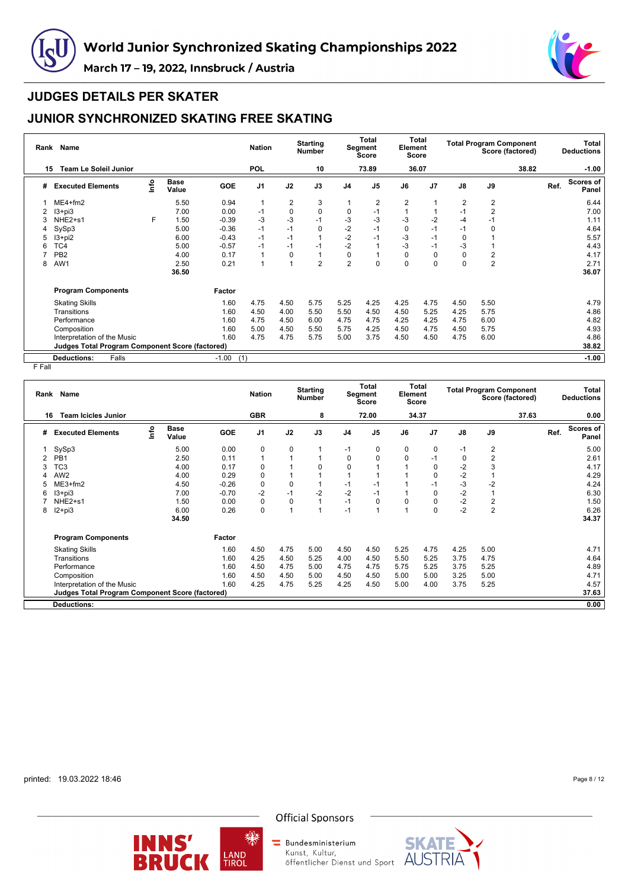



#### **JUDGES DETAILS PER SKATER**

# **JUNIOR SYNCHRONIZED SKATING FREE SKATING**

| Rank | <b>Name</b>                                            |      |                      |                | <b>Nation</b>  |             | <b>Starting</b><br><b>Number</b> |                | Total<br>Segment<br>Score | Element        | Total<br>Score |                |                         | <b>Total Program Component</b><br>Score (factored) |      | <b>Total</b><br><b>Deductions</b> |
|------|--------------------------------------------------------|------|----------------------|----------------|----------------|-------------|----------------------------------|----------------|---------------------------|----------------|----------------|----------------|-------------------------|----------------------------------------------------|------|-----------------------------------|
| 15   | <b>Team Le Soleil Junior</b>                           |      |                      |                | <b>POL</b>     |             | 10                               |                | 73.89                     |                | 36.07          |                |                         | 38.82                                              |      | $-1.00$                           |
| #    | <b>Executed Elements</b>                               | lnfo | <b>Base</b><br>Value | <b>GOE</b>     | J <sub>1</sub> | J2          | J3                               | J <sub>4</sub> | J <sub>5</sub>            | J6             | J <sub>7</sub> | J8             | J9                      |                                                    | Ref. | <b>Scores of</b><br>Panel         |
|      | $ME4 + fm2$                                            |      | 5.50                 | 0.94           | $\mathbf 1$    | 2           | 3                                |                | 2                         | $\overline{2}$ |                | $\overline{2}$ | 2                       |                                                    |      | 6.44                              |
|      | $13 + pi3$                                             |      | 7.00                 | 0.00           | $-1$           | $\mathbf 0$ | 0                                | 0              | -1                        |                |                | $-1$           | $\overline{2}$          |                                                    |      | 7.00                              |
| 3    | NHE2+s1                                                | F    | 1.50                 | $-0.39$        | $-3$           | $-3$        | $-1$                             | -3             | $-3$                      | -3             | -2             | $-4$           | $-1$                    |                                                    |      | 1.11                              |
| 4    | SySp3                                                  |      | 5.00                 | $-0.36$        | $-1$           | $-1$        | 0                                | $-2$           | $-1$                      | $\Omega$       | $-1$           | $-1$           | 0                       |                                                    |      | 4.64                              |
| 5    | $13 + pi2$                                             |      | 6.00                 | $-0.43$        | $-1$           | $-1$        |                                  | $-2$           | $-1$                      | -3             | $-1$           | 0              |                         |                                                    |      | 5.57                              |
| 6    | TC4                                                    |      | 5.00                 | $-0.57$        | $-1$           | $-1$        | $-1$                             | $-2$           |                           | $-3$           | $-1$           | -3             |                         |                                                    |      | 4.43                              |
|      | PB <sub>2</sub>                                        |      | 4.00                 | 0.17           | $\overline{1}$ | 0           |                                  | 0              |                           | $\Omega$       | 0              | 0              | $\overline{\mathbf{c}}$ |                                                    |      | 4.17                              |
| 8    | AW1                                                    |      | 2.50                 | 0.21           | 1              | 1           | $\overline{2}$                   | $\overline{2}$ | 0                         | $\Omega$       | $\Omega$       | $\mathbf 0$    | $\overline{2}$          |                                                    |      | 2.71                              |
|      |                                                        |      | 36.50                |                |                |             |                                  |                |                           |                |                |                |                         |                                                    |      | 36.07                             |
|      | <b>Program Components</b>                              |      |                      | Factor         |                |             |                                  |                |                           |                |                |                |                         |                                                    |      |                                   |
|      | <b>Skating Skills</b>                                  |      |                      | 1.60           | 4.75           | 4.50        | 5.75                             | 5.25           | 4.25                      | 4.25           | 4.75           | 4.50           | 5.50                    |                                                    |      | 4.79                              |
|      | Transitions                                            |      |                      | 1.60           | 4.50           | 4.00        | 5.50                             | 5.50           | 4.50                      | 4.50           | 5.25           | 4.25           | 5.75                    |                                                    |      | 4.86                              |
|      | Performance                                            |      |                      | 1.60           | 4.75           | 4.50        | 6.00                             | 4.75           | 4.75                      | 4.25           | 4.25           | 4.75           | 6.00                    |                                                    |      | 4.82                              |
|      | Composition                                            |      |                      | 1.60           | 5.00           | 4.50        | 5.50                             | 5.75           | 4.25                      | 4.50           | 4.75           | 4.50           | 5.75                    |                                                    |      | 4.93                              |
|      | Interpretation of the Music                            |      |                      | 1.60           | 4.75           | 4.75        | 5.75                             | 5.00           | 3.75                      | 4.50           | 4.50           | 4.75           | 6.00                    |                                                    |      | 4.86                              |
|      | <b>Judges Total Program Component Score (factored)</b> |      |                      |                |                |             |                                  |                |                           |                |                |                |                         |                                                    |      | 38.82                             |
|      | <b>Deductions:</b><br>Falls                            |      |                      | $-1.00$<br>(1) |                |             |                                  |                |                           |                |                |                |                         |                                                    |      | $-1.00$                           |

F Fall

| Rank | Name                                                   |      |                      |            | <b>Nation</b>  |                | <b>Starting</b><br><b>Number</b> |                | <b>Total</b><br>Segment<br><b>Score</b> | <b>Total</b><br>Element<br><b>Score</b> |                | <b>Total Program Component</b><br>Score (factored) |            |       | Total<br><b>Deductions</b> |                           |
|------|--------------------------------------------------------|------|----------------------|------------|----------------|----------------|----------------------------------|----------------|-----------------------------------------|-----------------------------------------|----------------|----------------------------------------------------|------------|-------|----------------------------|---------------------------|
| 16   | <b>Team Icicles Junior</b>                             |      |                      |            | <b>GBR</b>     |                | 8                                |                | 72.00                                   |                                         | 34.37          |                                                    |            | 37.63 |                            | 0.00                      |
| #    | <b>Executed Elements</b>                               | lnfo | <b>Base</b><br>Value | <b>GOE</b> | J <sub>1</sub> | J2             | J3                               | J <sub>4</sub> | J <sub>5</sub>                          | J6                                      | J <sub>7</sub> | J8                                                 | J9         |       | Ref.                       | <b>Scores of</b><br>Panel |
|      | SySp3                                                  |      | 5.00                 | 0.00       | 0              | 0              |                                  | $-1$           | 0                                       | 0                                       | 0              | $-1$                                               | 2          |       |                            | 5.00                      |
| 2    | PB <sub>1</sub>                                        |      | 2.50                 | 0.11       | 1              |                |                                  | 0              | 0                                       | $\Omega$                                | -1             | 0                                                  | 2          |       |                            | 2.61                      |
| 3    | TC <sub>3</sub>                                        |      | 4.00                 | 0.17       | 0              |                | $\Omega$                         | $\mathbf 0$    |                                         |                                         | 0              | $-2$                                               | 3          |       |                            | 4.17                      |
| 4    | AW <sub>2</sub>                                        |      | 4.00                 | 0.29       | 0              |                |                                  |                |                                         |                                         | 0              | $-2$                                               |            |       |                            | 4.29                      |
| 5    | $ME3+fm2$                                              |      | 4.50                 | $-0.26$    | $\pmb{0}$      | $\mathbf 0$    |                                  | $-1$           | -1                                      |                                         | -1             | $-3$                                               | $-2$       |       |                            | 4.24                      |
| 6    | $13 + pi3$                                             |      | 7.00                 | $-0.70$    | $-2$           | $-1$           | $-2$                             | $-2$           | $-1$                                    |                                         | 0              | $-2$                                               |            |       |                            | 6.30                      |
|      | NHE2+s1                                                |      | 1.50                 | 0.00       | 0              | $\mathbf 0$    |                                  | $-1$           | 0                                       | $\Omega$                                | 0              | $-2$                                               | 2          |       |                            | 1.50                      |
| 8    | $12+pi3$                                               |      | 6.00                 | 0.26       | 0              | $\overline{ }$ |                                  | $-1$           |                                         |                                         | 0              | $-2$                                               | $\sqrt{2}$ |       |                            | 6.26                      |
|      |                                                        |      | 34.50                |            |                |                |                                  |                |                                         |                                         |                |                                                    |            |       |                            | 34.37                     |
|      | <b>Program Components</b>                              |      |                      | Factor     |                |                |                                  |                |                                         |                                         |                |                                                    |            |       |                            |                           |
|      | <b>Skating Skills</b>                                  |      |                      | 1.60       | 4.50           | 4.75           | 5.00                             | 4.50           | 4.50                                    | 5.25                                    | 4.75           | 4.25                                               | 5.00       |       |                            | 4.71                      |
|      | Transitions                                            |      |                      | 1.60       | 4.25           | 4.50           | 5.25                             | 4.00           | 4.50                                    | 5.50                                    | 5.25           | 3.75                                               | 4.75       |       |                            | 4.64                      |
|      | Performance                                            |      |                      | 1.60       | 4.50           | 4.75           | 5.00                             | 4.75           | 4.75                                    | 5.75                                    | 5.25           | 3.75                                               | 5.25       |       |                            | 4.89                      |
|      | Composition                                            |      |                      | 1.60       | 4.50           | 4.50           | 5.00                             | 4.50           | 4.50                                    | 5.00                                    | 5.00           | 3.25                                               | 5.00       |       |                            | 4.71                      |
|      | Interpretation of the Music                            |      |                      | 1.60       | 4.25           | 4.75           | 5.25                             | 4.25           | 4.50                                    | 5.00                                    | 4.00           | 3.75                                               | 5.25       |       |                            | 4.57                      |
|      | <b>Judges Total Program Component Score (factored)</b> |      |                      |            |                |                |                                  |                |                                         |                                         |                |                                                    |            |       |                            | 37.63                     |
|      | <b>Deductions:</b>                                     |      |                      |            |                |                |                                  |                |                                         |                                         |                |                                                    |            |       |                            | 0.00                      |
|      |                                                        |      |                      |            |                |                |                                  |                |                                         |                                         |                |                                                    |            |       |                            |                           |

printed: 19.03.2022 18:46

Page 8 / 12



缫

**Official Sponsors** 

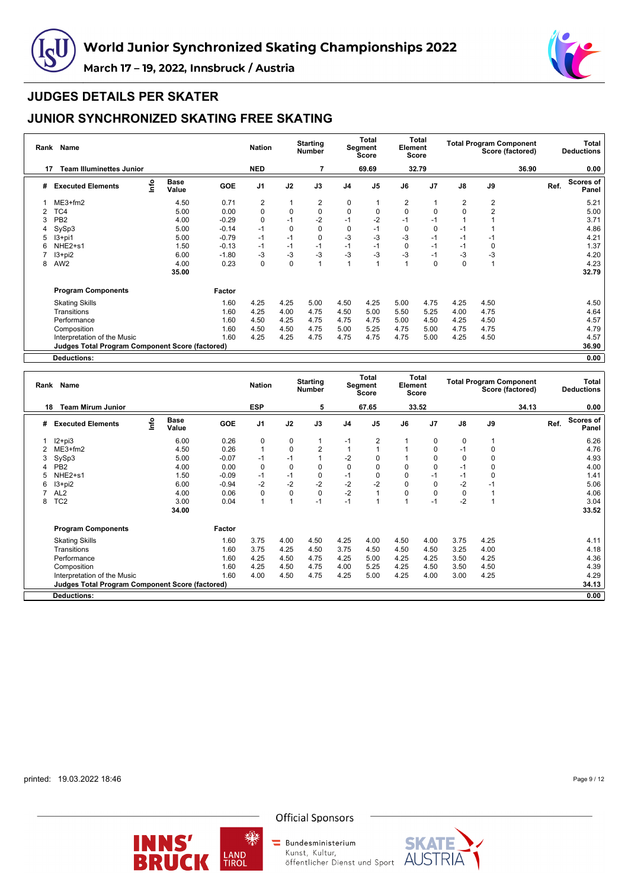



# **JUDGES DETAILS PER SKATER**

# **JUNIOR SYNCHRONIZED SKATING FREE SKATING**

|    | Rank Name                                              |      |                      |            | <b>Nation</b>  |             | <b>Starting</b><br><b>Number</b> |                | <b>Total</b><br>Segment<br>Score | Element        | Total<br>Score |               |                | <b>Total Program Component</b><br>Score (factored) |      | Total<br><b>Deductions</b> |
|----|--------------------------------------------------------|------|----------------------|------------|----------------|-------------|----------------------------------|----------------|----------------------------------|----------------|----------------|---------------|----------------|----------------------------------------------------|------|----------------------------|
| 17 | <b>Team Illuminettes Junior</b>                        |      |                      |            | <b>NED</b>     |             | $\overline{7}$                   |                | 69.69                            |                | 32.79          |               |                | 36.90                                              |      | 0.00                       |
| #  | <b>Executed Elements</b>                               | Info | <b>Base</b><br>Value | <b>GOE</b> | J <sub>1</sub> | J2          | J3                               | J <sub>4</sub> | J <sub>5</sub>                   | J6             | J <sub>7</sub> | $\mathsf{J}8$ | J9             |                                                    | Ref. | Scores of<br>Panel         |
|    | $ME3+fm2$                                              |      | 4.50                 | 0.71       | 2              |             | 2                                | 0              |                                  | $\overline{2}$ |                | 2             | 2              |                                                    |      | 5.21                       |
|    | TC4                                                    |      | 5.00                 | 0.00       | 0              | 0           | 0                                | 0              | 0                                | 0              | 0              | 0             | $\overline{2}$ |                                                    |      | 5.00                       |
| 3  | PB <sub>2</sub>                                        |      | 4.00                 | $-0.29$    | $\pmb{0}$      | $-1$        | $-2$                             | -1             | $-2$                             |                | -1             |               |                |                                                    |      | 3.71                       |
|    | SySp3                                                  |      | 5.00                 | $-0.14$    | $-1$           | $\mathbf 0$ | 0                                | 0              | $-1$                             | 0              | 0              | $-1$          |                |                                                    |      | 4.86                       |
| 5  | $13+pi1$                                               |      | 5.00                 | $-0.79$    | $-1$           | $-1$        | 0                                | -3             | $-3$                             | $-3$           | $-1$           | $-1$          | -1             |                                                    |      | 4.21                       |
| 6  | NHE2+s1                                                |      | 1.50                 | $-0.13$    | $-1$           | $-1$        | $-1$                             | $-1$           | $-1$                             | $\Omega$       | $-1$           | $-1$          | 0              |                                                    |      | 1.37                       |
|    | $13 + pi2$                                             |      | 6.00                 | $-1.80$    | $-3$           | $-3$        | $-3$                             | -3             | $-3$                             | $-3$           | $-1$           | $-3$          | -3             |                                                    |      | 4.20                       |
| 8  | AW <sub>2</sub>                                        |      | 4.00                 | 0.23       | $\mathbf 0$    | $\mathbf 0$ | 1                                |                |                                  |                | $\Omega$       | $\Omega$      |                |                                                    |      | 4.23                       |
|    |                                                        |      | 35.00                |            |                |             |                                  |                |                                  |                |                |               |                |                                                    |      | 32.79                      |
|    | <b>Program Components</b>                              |      |                      | Factor     |                |             |                                  |                |                                  |                |                |               |                |                                                    |      |                            |
|    | <b>Skating Skills</b>                                  |      |                      | 1.60       | 4.25           | 4.25        | 5.00                             | 4.50           | 4.25                             | 5.00           | 4.75           | 4.25          | 4.50           |                                                    |      | 4.50                       |
|    | Transitions                                            |      |                      | 1.60       | 4.25           | 4.00        | 4.75                             | 4.50           | 5.00                             | 5.50           | 5.25           | 4.00          | 4.75           |                                                    |      | 4.64                       |
|    | Performance                                            |      |                      | 1.60       | 4.50           | 4.25        | 4.75                             | 4.75           | 4.75                             | 5.00           | 4.50           | 4.25          | 4.50           |                                                    |      | 4.57                       |
|    | Composition                                            |      |                      | 1.60       | 4.50           | 4.50        | 4.75                             | 5.00           | 5.25                             | 4.75           | 5.00           | 4.75          | 4.75           |                                                    |      | 4.79                       |
|    | Interpretation of the Music                            |      |                      | 1.60       | 4.25           | 4.25        | 4.75                             | 4.75           | 4.75                             | 4.75           | 5.00           | 4.25          | 4.50           |                                                    |      | 4.57                       |
|    | <b>Judges Total Program Component Score (factored)</b> |      |                      |            |                |             |                                  |                |                                  |                |                |               |                |                                                    |      | 36.90                      |
|    | <b>Deductions:</b>                                     |      |                      |            |                |             |                                  |                |                                  |                |                |               |                |                                                    |      | 0.00                       |

| Rank | Name                                                   |      |                      |            | <b>Nation</b>  |                | <b>Starting</b><br><b>Number</b> |                | Total<br>Segment<br><b>Score</b> | Element  | <b>Total</b><br><b>Score</b> |               |             | <b>Total Program Component</b><br>Score (factored) |      | Total<br><b>Deductions</b> |
|------|--------------------------------------------------------|------|----------------------|------------|----------------|----------------|----------------------------------|----------------|----------------------------------|----------|------------------------------|---------------|-------------|----------------------------------------------------|------|----------------------------|
| 18   | <b>Team Mirum Junior</b>                               |      |                      |            | <b>ESP</b>     |                | 5                                |                | 67.65                            |          | 33.52                        |               |             | 34.13                                              |      | 0.00                       |
| #    | <b>Executed Elements</b>                               | Info | <b>Base</b><br>Value | <b>GOE</b> | J <sub>1</sub> | J2             | J3                               | J <sub>4</sub> | J <sub>5</sub>                   | J6       | J <sub>7</sub>               | $\mathsf{J}8$ | J9          |                                                    | Ref. | Scores of<br>Panel         |
|      | $12 + pi3$                                             |      | 6.00                 | 0.26       | 0              | 0              | 1                                | $-1$           | $\overline{2}$                   |          | 0                            | 0             |             |                                                    |      | 6.26                       |
|      | $ME3+fm2$                                              |      | 4.50                 | 0.26       |                | $\mathbf 0$    | $\overline{2}$                   |                |                                  |          | 0                            | $-1$          | 0           |                                                    |      | 4.76                       |
| 3    | SySp3                                                  |      | 5.00                 | $-0.07$    | $-1$           | $-1$           | $\overline{1}$                   | $-2$           | $\Omega$                         |          | $\Omega$                     | $\mathbf 0$   | $\Omega$    |                                                    |      | 4.93                       |
|      | PB <sub>2</sub>                                        |      | 4.00                 | 0.00       | $\Omega$       | 0              | 0                                | 0              | $\Omega$                         | 0        | 0                            | $-1$          | 0           |                                                    |      | 4.00                       |
|      | NHE2+s1                                                |      | 1.50                 | $-0.09$    | $-1$           | $-1$           | 0                                | $-1$           | $\Omega$                         | $\Omega$ | $-1$                         | $-1$          | $\mathbf 0$ |                                                    |      | 1.41                       |
| 6    | $13 + pi2$                                             |      | 6.00                 | $-0.94$    | $-2$           | $-2$           | $-2$                             | $-2$           | $-2$                             | 0        | 0                            | $-2$          | $-1$        |                                                    |      | 5.06                       |
|      | AL <sub>2</sub>                                        |      | 4.00                 | 0.06       | $\Omega$       | 0              | $\mathbf 0$                      | $-2$           |                                  |          | 0                            | $\mathbf 0$   |             |                                                    |      | 4.06                       |
| 8    | TC <sub>2</sub>                                        |      | 3.00                 | 0.04       |                | $\overline{A}$ | $-1$                             | $-1$           |                                  |          | $-1$                         | $-2$          |             |                                                    |      | 3.04                       |
|      |                                                        |      | 34.00                |            |                |                |                                  |                |                                  |          |                              |               |             |                                                    |      | 33.52                      |
|      | <b>Program Components</b>                              |      |                      | Factor     |                |                |                                  |                |                                  |          |                              |               |             |                                                    |      |                            |
|      | <b>Skating Skills</b>                                  |      |                      | 1.60       | 3.75           | 4.00           | 4.50                             | 4.25           | 4.00                             | 4.50     | 4.00                         | 3.75          | 4.25        |                                                    |      | 4.11                       |
|      | Transitions                                            |      |                      | 1.60       | 3.75           | 4.25           | 4.50                             | 3.75           | 4.50                             | 4.50     | 4.50                         | 3.25          | 4.00        |                                                    |      | 4.18                       |
|      | Performance                                            |      |                      | 1.60       | 4.25           | 4.50           | 4.75                             | 4.25           | 5.00                             | 4.25     | 4.25                         | 3.50          | 4.25        |                                                    |      | 4.36                       |
|      | Composition                                            |      |                      | 1.60       | 4.25           | 4.50           | 4.75                             | 4.00           | 5.25                             | 4.25     | 4.50                         | 3.50          | 4.50        |                                                    |      | 4.39                       |
|      | Interpretation of the Music                            |      |                      | 1.60       | 4.00           | 4.50           | 4.75                             | 4.25           | 5.00                             | 4.25     | 4.00                         | 3.00          | 4.25        |                                                    |      | 4.29                       |
|      | <b>Judges Total Program Component Score (factored)</b> |      |                      |            |                |                |                                  |                |                                  |          |                              |               |             |                                                    |      | 34.13                      |
|      | <b>Deductions:</b>                                     |      |                      |            |                |                |                                  |                |                                  |          |                              |               |             |                                                    |      | 0.00                       |

printed: 19.03.2022 18:46

Page 9 / 12



瓅



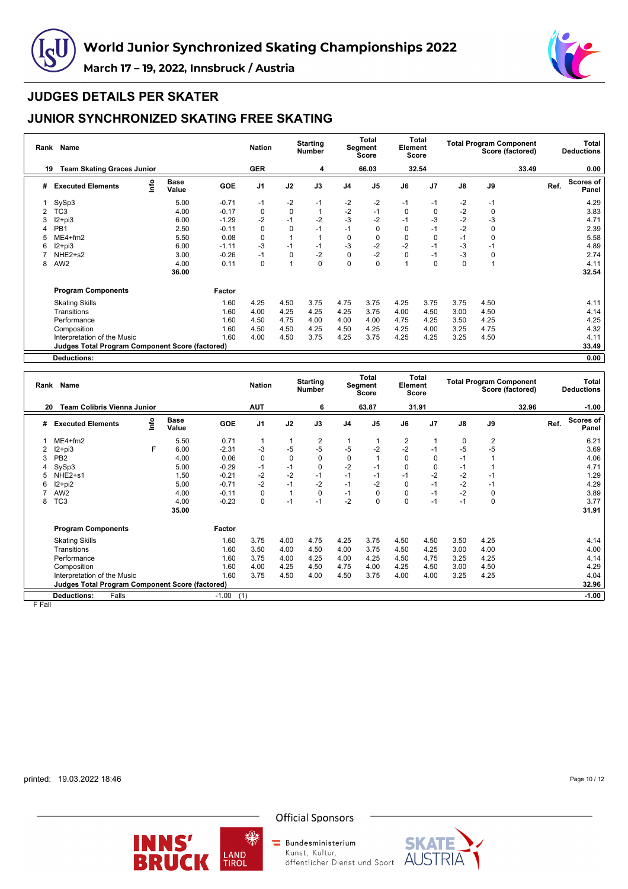



#### **JUDGES DETAILS PER SKATER**

# **JUNIOR SYNCHRONIZED SKATING FREE SKATING**

| Rank | <b>Name</b>                                            |      |               |            | <b>Nation</b>  |             | <b>Starting</b><br><b>Number</b> |                | Total<br>Segment<br>Score | Element  | Total<br>Score |          |                | <b>Total Program Component</b><br>Score (factored) |      | Total<br><b>Deductions</b> |
|------|--------------------------------------------------------|------|---------------|------------|----------------|-------------|----------------------------------|----------------|---------------------------|----------|----------------|----------|----------------|----------------------------------------------------|------|----------------------------|
| 19   | <b>Team Skating Graces Junior</b>                      |      |               |            | <b>GER</b>     |             | 4                                |                | 66.03                     |          | 32.54          |          |                | 33.49                                              |      | 0.00                       |
| #    | <b>Executed Elements</b>                               | lnfo | Base<br>Value | <b>GOE</b> | J <sub>1</sub> | J2          | J3                               | J <sub>4</sub> | J <sub>5</sub>            | J6       | J <sub>7</sub> | J8       | J9             |                                                    | Ref. | Scores of<br>Panel         |
|      | SySp3                                                  |      | 5.00          | $-0.71$    | $-1$           | $-2$        | $-1$                             | $-2$           | $-2$                      | -1       | $-1$           | $-2$     | $-1$           |                                                    |      | 4.29                       |
| 2    | TC3                                                    |      | 4.00          | $-0.17$    | 0              | $\pmb{0}$   |                                  | $-2$           | $-1$                      | 0        | 0              | $-2$     | 0              |                                                    |      | 3.83                       |
| 3    | $12+pi3$                                               |      | 6.00          | $-1.29$    | $-2$           | $-1$        | $-2$                             | $-3$           | $-2$                      | $-1$     | -3             | $-2$     | $-3$           |                                                    |      | 4.71                       |
|      | PB <sub>1</sub>                                        |      | 2.50          | $-0.11$    | 0              | $\mathbf 0$ | $-1$                             | $-1$           | 0                         | $\Omega$ | $-1$           | $-2$     | 0              |                                                    |      | 2.39                       |
| 5    | $ME4 + fm2$                                            |      | 5.50          | 0.08       | 0              |             |                                  | $\Omega$       |                           | 0        | $\Omega$       | $-1$     | 0              |                                                    |      | 5.58                       |
| 6    | $12 + pi3$                                             |      | 6.00          | $-1.11$    | $-3$           | $-1$        | $-1$                             | $-3$           | $-2$                      | $-2$     | $-1$           | $-3$     | $-1$           |                                                    |      | 4.89                       |
|      | NHE2+s2                                                |      | 3.00          | $-0.26$    | $-1$           | $\mathbf 0$ | $-2$                             | $\Omega$       | $-2$                      | $\Omega$ | $-1$           | -3       | 0              |                                                    |      | 2.74                       |
| 8    | AW <sub>2</sub>                                        |      | 4.00          | 0.11       | $\Omega$       | 1           | 0                                | $\Omega$       | $\Omega$                  |          | $\Omega$       | $\Omega$ | $\overline{1}$ |                                                    |      | 4.11                       |
|      |                                                        |      | 36.00         |            |                |             |                                  |                |                           |          |                |          |                |                                                    |      | 32.54                      |
|      | <b>Program Components</b>                              |      |               | Factor     |                |             |                                  |                |                           |          |                |          |                |                                                    |      |                            |
|      | <b>Skating Skills</b>                                  |      |               | 1.60       | 4.25           | 4.50        | 3.75                             | 4.75           | 3.75                      | 4.25     | 3.75           | 3.75     | 4.50           |                                                    |      | 4.11                       |
|      | Transitions                                            |      |               | 1.60       | 4.00           | 4.25        | 4.25                             | 4.25           | 3.75                      | 4.00     | 4.50           | 3.00     | 4.50           |                                                    |      | 4.14                       |
|      | Performance                                            |      |               | 1.60       | 4.50           | 4.75        | 4.00                             | 4.00           | 4.00                      | 4.75     | 4.25           | 3.50     | 4.25           |                                                    |      | 4.25                       |
|      | Composition                                            |      |               | 1.60       | 4.50           | 4.50        | 4.25                             | 4.50           | 4.25                      | 4.25     | 4.00           | 3.25     | 4.75           |                                                    |      | 4.32                       |
|      | Interpretation of the Music                            |      |               | 1.60       | 4.00           | 4.50        | 3.75                             | 4.25           | 3.75                      | 4.25     | 4.25           | 3.25     | 4.50           |                                                    |      | 4.11                       |
|      | <b>Judges Total Program Component Score (factored)</b> |      |               |            |                |             |                                  |                |                           |          |                |          |                |                                                    |      | 33.49                      |
|      | Deductions:                                            |      |               |            |                |             |                                  |                |                           |          |                |          |                |                                                    |      | 0.00                       |

**Rank Name Nation Starting Number Total Segment Score Total Element Score Total Program Component Score (factored) Total Deductions 20 Team Colibris Vienna Junior AUT 6 63.87 31.91 32.96 -1.00 # Executed Elements Info Base Value GOE J1 J2 J3 J4 J5 J6 J7 J8 J9 Ref. Scores of Panel** 1 ME4+fm2 5.50 0.71 1 1 2 1 1 2 1 0 2 6.21 2 I2+pi3 F 6.00 -2.31 -3 -5 -5 -5 -2 -2 -1 -5 -5 3.69 3 PB2 4.00 0.06 0 0 0 0 1 0 0 -1 1 4.06 4 SySp3 5.00 -0.29 -1 -1 0 -2 -1 0 0 -1 1 4.71 5 NHE2+s1 1.50 -0.21 -2 -2 -1 -1 -1 -1 -2 -2 -1 1.29 6 I2+pi2 5.00 -0.71 -2 -1 -2 -1 -2 0 -1 -2 -1 4.29 7 AW2 4.00 -0.11 0 1 0 -1 0 0 -1 -2 0 3.89 8 TC3 4.00 -0.23 0 -1 -1 -2 0 0 -1 -1 0 3.77 **35.00 31.91 Program Components Factor** Skating Skills 1.60 3.75 4.00 4.75 4.25 3.75 4.50 4.50 3.50 4.25 4.14 Transitions 1.60 3.50 4.00 4.50 4.00 3.75 4.50 4.25 3.00 4.00 4.00 Performance 1.60 3.75 4.00 4.25 4.00 4.25 4.50 4.75 3.25 4.25 4.14 Composition 1.60 4.00 4.25 4.50 4.75 4.00 4.25 4.50 3.00 4.50 4.29 Interpretation of the Music<br>
Interpretation of the Music 1.60 3.75 4.50 4.50 4.50 3.75 4.00 4.50 3.75 4.00 4.00 3.25 4.25 4.04<br> **Judges Total Program Component Score (factored)** 32.96 **Judges Total Program Component Score (factored) 32.96 Deductions:** Falls -1.00 (1) **-1.00**

F Fall

printed: 19.03.2022 18:46

Page 10 / 12





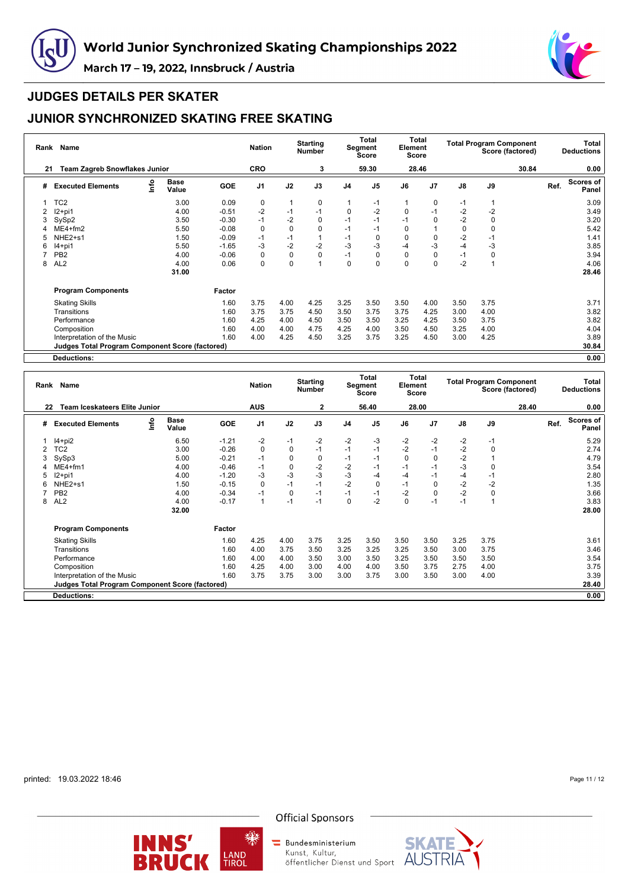



#### **JUDGES DETAILS PER SKATER**

# **JUNIOR SYNCHRONIZED SKATING FREE SKATING**

| Rank | Name                                                   |      |                      |            | <b>Nation</b>  |             | <b>Starting</b><br><b>Number</b> |                | <b>Total</b><br>Segment<br>Score | Element  | Total<br>Score |      |             | <b>Total Program Component</b><br>Score (factored) |      | Total<br><b>Deductions</b> |
|------|--------------------------------------------------------|------|----------------------|------------|----------------|-------------|----------------------------------|----------------|----------------------------------|----------|----------------|------|-------------|----------------------------------------------------|------|----------------------------|
| 21   | <b>Team Zagreb Snowflakes Junior</b>                   |      |                      |            | <b>CRO</b>     |             | 3                                |                | 59.30                            |          | 28.46          |      |             | 30.84                                              |      | 0.00                       |
| #    | <b>Executed Elements</b>                               | Info | <b>Base</b><br>Value | <b>GOE</b> | J <sub>1</sub> | J2          | J3                               | J <sub>4</sub> | J <sub>5</sub>                   | J6       | J <sub>7</sub> | J8   | J9          |                                                    | Ref. | <b>Scores of</b><br>Panel  |
|      | TC <sub>2</sub>                                        |      | 3.00                 | 0.09       | 0              |             | 0                                |                | $-1$                             |          | 0              | -1   |             |                                                    |      | 3.09                       |
|      | $12+pi1$                                               |      | 4.00                 | $-0.51$    | $-2$           | $-1$        | $-1$                             | 0              | $-2$                             | 0        | $-1$           | $-2$ | $-2$        |                                                    |      | 3.49                       |
| 3    | SySp2                                                  |      | 3.50                 | $-0.30$    | $-1$           | $-2$        | 0                                | $-1$           | $-1$                             | $-1$     | 0              | $-2$ | 0           |                                                    |      | 3.20                       |
| 4    | $ME4 + fm2$                                            |      | 5.50                 | $-0.08$    | 0              | $\mathbf 0$ | 0                                | $-1$           | $-1$                             | 0        |                | 0    | 0           |                                                    |      | 5.42                       |
| 5    | NHE2+s1                                                |      | 1.50                 | $-0.09$    | $-1$           | $-1$        |                                  | $-1$           | 0                                | $\Omega$ | $\Omega$       | $-2$ | $-1$        |                                                    |      | 1.41                       |
| 6    | $14+pi1$                                               |      | 5.50                 | $-1.65$    | $-3$           | $-2$        | $-2$                             | $-3$           | $-3$                             | $-4$     | $-3$           | $-4$ | $-3$        |                                                    |      | 3.85                       |
|      | PB <sub>2</sub>                                        |      | 4.00                 | $-0.06$    | $\mathbf 0$    | $\mathbf 0$ | 0                                | $-1$           | 0                                | $\Omega$ | $\Omega$       | $-1$ | $\mathbf 0$ |                                                    |      | 3.94                       |
| 8    | AL <sub>2</sub>                                        |      | 4.00                 | 0.06       | $\Omega$       | $\Omega$    | 1                                | $\Omega$       | 0                                | $\Omega$ | $\Omega$       | $-2$ |             |                                                    |      | 4.06                       |
|      |                                                        |      | 31.00                |            |                |             |                                  |                |                                  |          |                |      |             |                                                    |      | 28.46                      |
|      | <b>Program Components</b>                              |      |                      | Factor     |                |             |                                  |                |                                  |          |                |      |             |                                                    |      |                            |
|      | <b>Skating Skills</b>                                  |      |                      | 1.60       | 3.75           | 4.00        | 4.25                             | 3.25           | 3.50                             | 3.50     | 4.00           | 3.50 | 3.75        |                                                    |      | 3.71                       |
|      | Transitions                                            |      |                      | 1.60       | 3.75           | 3.75        | 4.50                             | 3.50           | 3.75                             | 3.75     | 4.25           | 3.00 | 4.00        |                                                    |      | 3.82                       |
|      | Performance                                            |      |                      | 1.60       | 4.25           | 4.00        | 4.50                             | 3.50           | 3.50                             | 3.25     | 4.25           | 3.50 | 3.75        |                                                    |      | 3.82                       |
|      | Composition                                            |      |                      | 1.60       | 4.00           | 4.00        | 4.75                             | 4.25           | 4.00                             | 3.50     | 4.50           | 3.25 | 4.00        |                                                    |      | 4.04                       |
|      | Interpretation of the Music                            |      |                      | 1.60       | 4.00           | 4.25        | 4.50                             | 3.25           | 3.75                             | 3.25     | 4.50           | 3.00 | 4.25        |                                                    |      | 3.89                       |
|      | <b>Judges Total Program Component Score (factored)</b> |      |                      |            |                |             |                                  |                |                                  |          |                |      |             |                                                    |      | 30.84                      |
|      | <b>Deductions:</b>                                     |      |                      |            |                |             |                                  |                |                                  |          |                |      |             |                                                    |      | 0.00                       |

| Rank | Name                                            |      |                      |            | <b>Nation</b>  |             | <b>Starting</b><br><b>Number</b> |                | Total<br>Segment<br><b>Score</b> | Element  | <b>Total</b><br>Score |      |                | <b>Total Program Component</b><br>Score (factored) |      | Total<br><b>Deductions</b> |
|------|-------------------------------------------------|------|----------------------|------------|----------------|-------------|----------------------------------|----------------|----------------------------------|----------|-----------------------|------|----------------|----------------------------------------------------|------|----------------------------|
| 22   | Team Iceskateers Elite Junior                   |      |                      |            | <b>AUS</b>     |             | 2                                |                | 56.40                            |          | 28.00                 |      |                | 28.40                                              |      | 0.00                       |
| #    | <b>Executed Elements</b>                        | ١nf٥ | <b>Base</b><br>Value | <b>GOE</b> | J <sub>1</sub> | J2          | J3                               | J <sub>4</sub> | J <sub>5</sub>                   | J6       | J <sub>7</sub>        | J8   | J9             |                                                    | Ref. | Scores of<br>Panel         |
|      | $14+pi2$                                        |      | 6.50                 | $-1.21$    | $-2$           | $-1$        | $-2$                             | $-2$           | -3                               | $-2$     | -2                    | $-2$ | $-1$           |                                                    |      | 5.29                       |
|      | TC <sub>2</sub>                                 |      | 3.00                 | $-0.26$    | 0              | $\mathbf 0$ | $-1$                             | $-1$           | $-1$                             | $-2$     | $-1$                  | $-2$ | 0              |                                                    |      | 2.74                       |
| 3    | SySp3                                           |      | 5.00                 | $-0.21$    | $-1$           | $\mathbf 0$ | $\pmb{0}$                        | $-1$           | $-1$                             | $\Omega$ | 0                     | $-2$ |                |                                                    |      | 4.79                       |
|      | ME4+fm1                                         |      | 4.00                 | $-0.46$    | $-1$           | $\mathbf 0$ | $-2$                             | $-2$           | $-1$                             | $-1$     | $-1$                  | $-3$ | 0              |                                                    |      | 3.54                       |
| 5    | $12+pi1$                                        |      | 4.00                 | $-1.20$    | $-3$           | $-3$        | $-3$                             | $-3$           | -4                               | -4       | -1                    | $-4$ | $-1$           |                                                    |      | 2.80                       |
| 6    | NHE <sub>2+s1</sub>                             |      | 1.50                 | $-0.15$    | $\mathbf 0$    | $-1$        | $-1$                             | $-2$           | $\Omega$                         | -1       | 0                     | $-2$ | $-2$           |                                                    |      | 1.35                       |
|      | PB <sub>2</sub>                                 |      | 4.00                 | $-0.34$    | $-1$           | $\mathbf 0$ | $-1$                             | $-1$           | $-1$                             | $-2$     | 0                     | $-2$ | 0              |                                                    |      | 3.66                       |
| 8    | AL <sub>2</sub>                                 |      | 4.00<br>32.00        | $-0.17$    |                | $-1$        | $-1$                             | $\Omega$       | $-2$                             | $\Omega$ | -1                    | $-1$ | $\overline{A}$ |                                                    |      | 3.83<br>28.00              |
|      | <b>Program Components</b>                       |      |                      | Factor     |                |             |                                  |                |                                  |          |                       |      |                |                                                    |      |                            |
|      | <b>Skating Skills</b>                           |      |                      | 1.60       | 4.25           | 4.00        | 3.75                             | 3.25           | 3.50                             | 3.50     | 3.50                  | 3.25 | 3.75           |                                                    |      | 3.61                       |
|      | Transitions                                     |      |                      | 1.60       | 4.00           | 3.75        | 3.50                             | 3.25           | 3.25                             | 3.25     | 3.50                  | 3.00 | 3.75           |                                                    |      | 3.46                       |
|      | Performance                                     |      |                      | 1.60       | 4.00           | 4.00        | 3.50                             | 3.00           | 3.50                             | 3.25     | 3.50                  | 3.50 | 3.50           |                                                    |      | 3.54                       |
|      | Composition                                     |      |                      | 1.60       | 4.25           | 4.00        | 3.00                             | 4.00           | 4.00                             | 3.50     | 3.75                  | 2.75 | 4.00           |                                                    |      | 3.75                       |
|      | Interpretation of the Music                     |      |                      | 1.60       | 3.75           | 3.75        | 3.00                             | 3.00           | 3.75                             | 3.00     | 3.50                  | 3.00 | 4.00           |                                                    |      | 3.39                       |
|      | Judges Total Program Component Score (factored) |      |                      |            |                |             |                                  |                |                                  |          |                       |      |                |                                                    |      | 28.40                      |
|      | <b>Deductions:</b>                              |      |                      |            |                |             |                                  |                |                                  |          |                       |      |                |                                                    |      | 0.00                       |

printed: 19.03.2022 18:46



缫